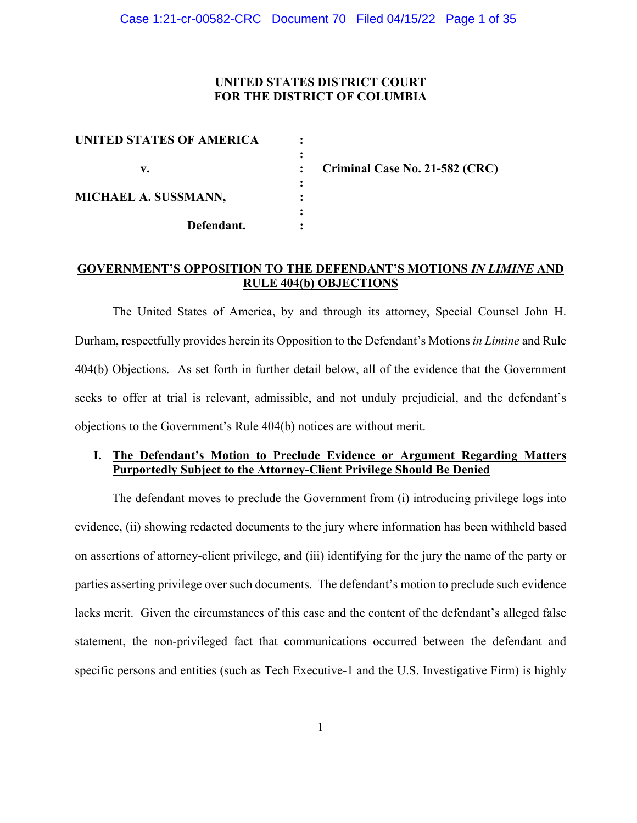# **UNITED STATES DISTRICT COURT FOR THE DISTRICT OF COLUMBIA**

| <b>UNITED STATES OF AMERICA</b> |            |  |
|---------------------------------|------------|--|
|                                 |            |  |
| V.                              |            |  |
|                                 |            |  |
| MICHAEL A. SUSSMANN,            |            |  |
|                                 |            |  |
|                                 | Defendant. |  |
|                                 |            |  |

**Criminal Case No. 21-582 (CRC)** 

## **GOVERNMENT'S OPPOSITION TO THE DEFENDANT'S MOTIONS** *IN LIMINE* **AND RULE 404(b) OBJECTIONS**

The United States of America, by and through its attorney, Special Counsel John H. Durham, respectfully provides herein its Opposition to the Defendant's Motions *in Limine* and Rule 404(b) Objections. As set forth in further detail below, all of the evidence that the Government seeks to offer at trial is relevant, admissible, and not unduly prejudicial, and the defendant's objections to the Government's Rule 404(b) notices are without merit.

# **I. The Defendant's Motion to Preclude Evidence or Argument Regarding Matters Purportedly Subject to the Attorney-Client Privilege Should Be Denied**

The defendant moves to preclude the Government from (i) introducing privilege logs into evidence, (ii) showing redacted documents to the jury where information has been withheld based on assertions of attorney-client privilege, and (iii) identifying for the jury the name of the party or parties asserting privilege over such documents. The defendant's motion to preclude such evidence lacks merit. Given the circumstances of this case and the content of the defendant's alleged false statement, the non-privileged fact that communications occurred between the defendant and specific persons and entities (such as Tech Executive-1 and the U.S. Investigative Firm) is highly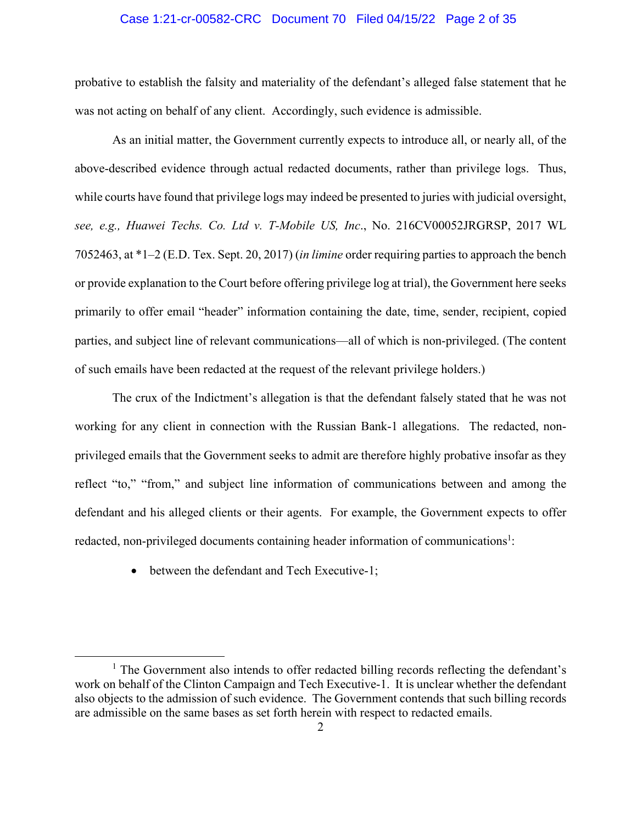#### Case 1:21-cr-00582-CRC Document 70 Filed 04/15/22 Page 2 of 35

probative to establish the falsity and materiality of the defendant's alleged false statement that he was not acting on behalf of any client. Accordingly, such evidence is admissible.

As an initial matter, the Government currently expects to introduce all, or nearly all, of the above-described evidence through actual redacted documents, rather than privilege logs. Thus, while courts have found that privilege logs may indeed be presented to juries with judicial oversight, *see, e.g., Huawei Techs. Co. Ltd v. T-Mobile US, Inc*., No. 216CV00052JRGRSP, 2017 WL 7052463, at \*1–2 (E.D. Tex. Sept. 20, 2017) (*in limine* order requiring parties to approach the bench or provide explanation to the Court before offering privilege log at trial), the Government here seeks primarily to offer email "header" information containing the date, time, sender, recipient, copied parties, and subject line of relevant communications—all of which is non-privileged. (The content of such emails have been redacted at the request of the relevant privilege holders.)

The crux of the Indictment's allegation is that the defendant falsely stated that he was not working for any client in connection with the Russian Bank-1 allegations. The redacted, nonprivileged emails that the Government seeks to admit are therefore highly probative insofar as they reflect "to," "from," and subject line information of communications between and among the defendant and his alleged clients or their agents. For example, the Government expects to offer redacted, non-privileged documents containing header information of communications<sup>1</sup>:

• between the defendant and Tech Executive-1;

<sup>&</sup>lt;sup>1</sup> The Government also intends to offer redacted billing records reflecting the defendant's work on behalf of the Clinton Campaign and Tech Executive-1. It is unclear whether the defendant also objects to the admission of such evidence. The Government contends that such billing records are admissible on the same bases as set forth herein with respect to redacted emails.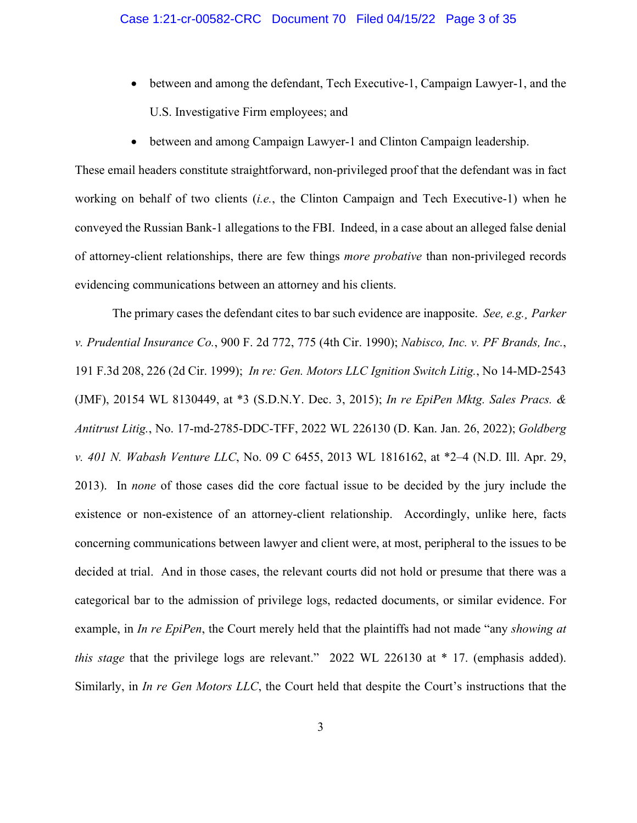- between and among the defendant, Tech Executive-1, Campaign Lawyer-1, and the U.S. Investigative Firm employees; and
- between and among Campaign Lawyer-1 and Clinton Campaign leadership.

These email headers constitute straightforward, non-privileged proof that the defendant was in fact working on behalf of two clients (*i.e.*, the Clinton Campaign and Tech Executive-1) when he conveyed the Russian Bank-1 allegations to the FBI. Indeed, in a case about an alleged false denial of attorney-client relationships, there are few things *more probative* than non-privileged records evidencing communications between an attorney and his clients.

The primary cases the defendant cites to bar such evidence are inapposite. *See, e.g.¸ Parker v. Prudential Insurance Co.*, 900 F. 2d 772, 775 (4th Cir. 1990); *Nabisco, Inc. v. PF Brands, Inc.*, 191 F.3d 208, 226 (2d Cir. 1999); *In re: Gen. Motors LLC Ignition Switch Litig.*, No 14-MD-2543 (JMF), 20154 WL 8130449, at \*3 (S.D.N.Y. Dec. 3, 2015); *In re EpiPen Mktg. Sales Pracs. & Antitrust Litig.*, No. 17-md-2785-DDC-TFF, 2022 WL 226130 (D. Kan. Jan. 26, 2022); *Goldberg v. 401 N. Wabash Venture LLC*, No. 09 C 6455, 2013 WL 1816162, at \*2–4 (N.D. Ill. Apr. 29, 2013). In *none* of those cases did the core factual issue to be decided by the jury include the existence or non-existence of an attorney-client relationship. Accordingly, unlike here, facts concerning communications between lawyer and client were, at most, peripheral to the issues to be decided at trial. And in those cases, the relevant courts did not hold or presume that there was a categorical bar to the admission of privilege logs, redacted documents, or similar evidence. For example, in *In re EpiPen*, the Court merely held that the plaintiffs had not made "any *showing at this stage* that the privilege logs are relevant." 2022 WL 226130 at \* 17. (emphasis added). Similarly, in *In re Gen Motors LLC*, the Court held that despite the Court's instructions that the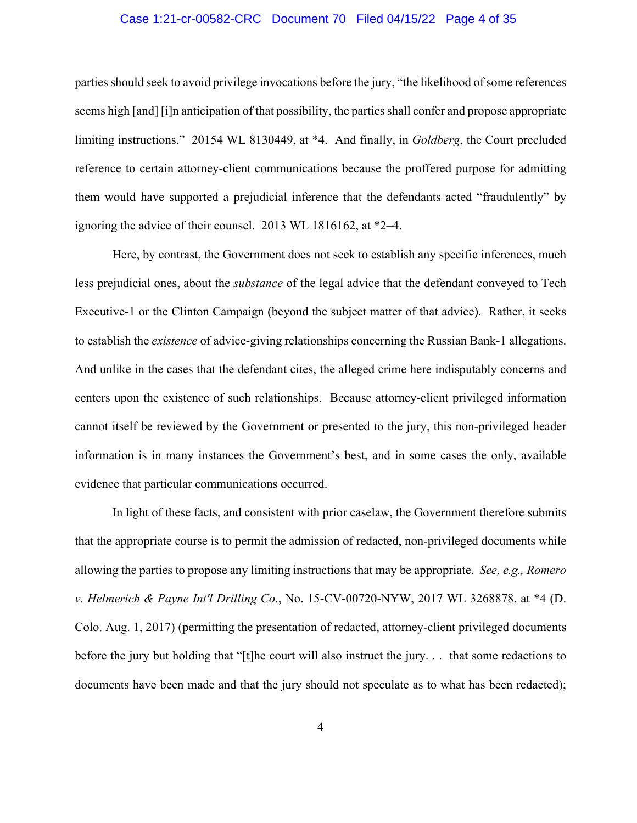#### Case 1:21-cr-00582-CRC Document 70 Filed 04/15/22 Page 4 of 35

parties should seek to avoid privilege invocations before the jury, "the likelihood of some references seems high [and] [i]n anticipation of that possibility, the parties shall confer and propose appropriate limiting instructions." 20154 WL 8130449, at \*4. And finally, in *Goldberg*, the Court precluded reference to certain attorney-client communications because the proffered purpose for admitting them would have supported a prejudicial inference that the defendants acted "fraudulently" by ignoring the advice of their counsel. 2013 WL 1816162, at \*2–4.

Here, by contrast, the Government does not seek to establish any specific inferences, much less prejudicial ones, about the *substance* of the legal advice that the defendant conveyed to Tech Executive-1 or the Clinton Campaign (beyond the subject matter of that advice). Rather, it seeks to establish the *existence* of advice-giving relationships concerning the Russian Bank-1 allegations. And unlike in the cases that the defendant cites, the alleged crime here indisputably concerns and centers upon the existence of such relationships. Because attorney-client privileged information cannot itself be reviewed by the Government or presented to the jury, this non-privileged header information is in many instances the Government's best, and in some cases the only, available evidence that particular communications occurred.

In light of these facts, and consistent with prior caselaw, the Government therefore submits that the appropriate course is to permit the admission of redacted, non-privileged documents while allowing the parties to propose any limiting instructions that may be appropriate. *See, e.g., Romero v. Helmerich & Payne Int'l Drilling Co*., No. 15-CV-00720-NYW, 2017 WL 3268878, at \*4 (D. Colo. Aug. 1, 2017) (permitting the presentation of redacted, attorney-client privileged documents before the jury but holding that "[t]he court will also instruct the jury. . . that some redactions to documents have been made and that the jury should not speculate as to what has been redacted);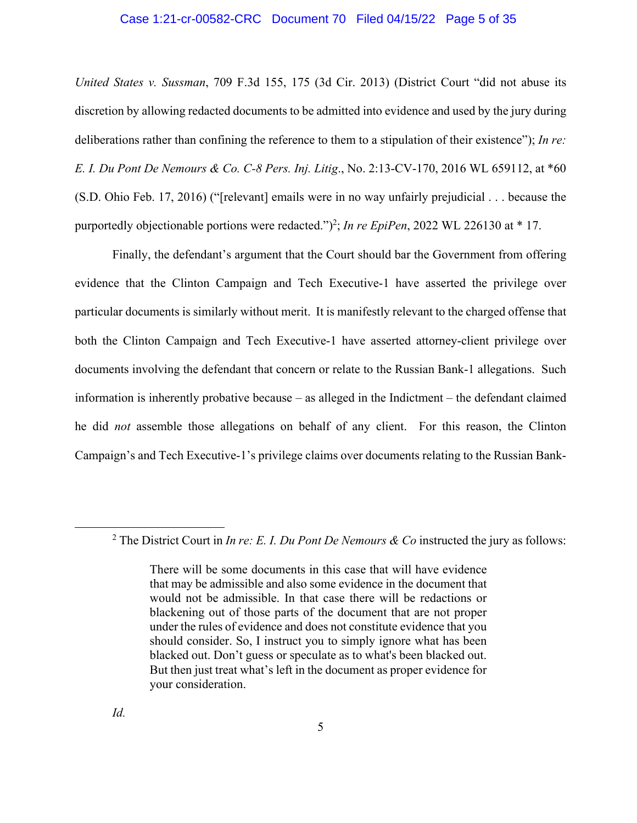#### Case 1:21-cr-00582-CRC Document 70 Filed 04/15/22 Page 5 of 35

*United States v. Sussman*, 709 F.3d 155, 175 (3d Cir. 2013) (District Court "did not abuse its discretion by allowing redacted documents to be admitted into evidence and used by the jury during deliberations rather than confining the reference to them to a stipulation of their existence"); *In re: E. I. Du Pont De Nemours & Co. C-8 Pers. Inj. Litig*., No. 2:13-CV-170, 2016 WL 659112, at \*60 (S.D. Ohio Feb. 17, 2016) ("[relevant] emails were in no way unfairly prejudicial . . . because the purportedly objectionable portions were redacted.")<sup>2</sup>; *In re EpiPen*, 2022 WL 226130 at \* 17.

Finally, the defendant's argument that the Court should bar the Government from offering evidence that the Clinton Campaign and Tech Executive-1 have asserted the privilege over particular documents is similarly without merit. It is manifestly relevant to the charged offense that both the Clinton Campaign and Tech Executive-1 have asserted attorney-client privilege over documents involving the defendant that concern or relate to the Russian Bank-1 allegations. Such information is inherently probative because – as alleged in the Indictment – the defendant claimed he did *not* assemble those allegations on behalf of any client. For this reason, the Clinton Campaign's and Tech Executive-1's privilege claims over documents relating to the Russian Bank-

<sup>&</sup>lt;sup>2</sup> The District Court in *In re: E. I. Du Pont De Nemours & Co* instructed the jury as follows:

There will be some documents in this case that will have evidence that may be admissible and also some evidence in the document that would not be admissible. In that case there will be redactions or blackening out of those parts of the document that are not proper under the rules of evidence and does not constitute evidence that you should consider. So, I instruct you to simply ignore what has been blacked out. Don't guess or speculate as to what's been blacked out. But then just treat what's left in the document as proper evidence for your consideration.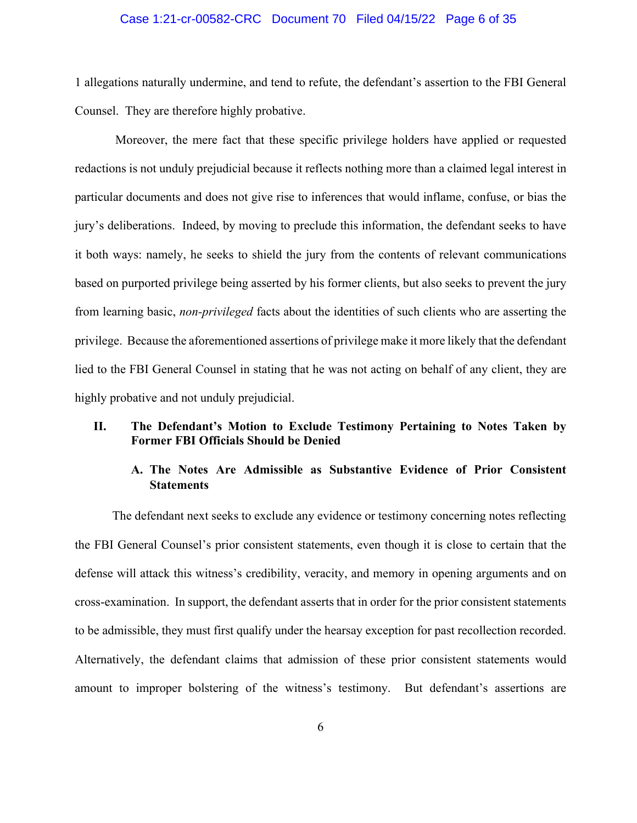#### Case 1:21-cr-00582-CRC Document 70 Filed 04/15/22 Page 6 of 35

1 allegations naturally undermine, and tend to refute, the defendant's assertion to the FBI General Counsel. They are therefore highly probative.

 Moreover, the mere fact that these specific privilege holders have applied or requested redactions is not unduly prejudicial because it reflects nothing more than a claimed legal interest in particular documents and does not give rise to inferences that would inflame, confuse, or bias the jury's deliberations. Indeed, by moving to preclude this information, the defendant seeks to have it both ways: namely, he seeks to shield the jury from the contents of relevant communications based on purported privilege being asserted by his former clients, but also seeks to prevent the jury from learning basic, *non-privileged* facts about the identities of such clients who are asserting the privilege. Because the aforementioned assertions of privilege make it more likely that the defendant lied to the FBI General Counsel in stating that he was not acting on behalf of any client, they are highly probative and not unduly prejudicial.

### **II. The Defendant's Motion to Exclude Testimony Pertaining to Notes Taken by Former FBI Officials Should be Denied**

# **A. The Notes Are Admissible as Substantive Evidence of Prior Consistent Statements**

The defendant next seeks to exclude any evidence or testimony concerning notes reflecting the FBI General Counsel's prior consistent statements, even though it is close to certain that the defense will attack this witness's credibility, veracity, and memory in opening arguments and on cross-examination. In support, the defendant asserts that in order for the prior consistent statements to be admissible, they must first qualify under the hearsay exception for past recollection recorded. Alternatively, the defendant claims that admission of these prior consistent statements would amount to improper bolstering of the witness's testimony. But defendant's assertions are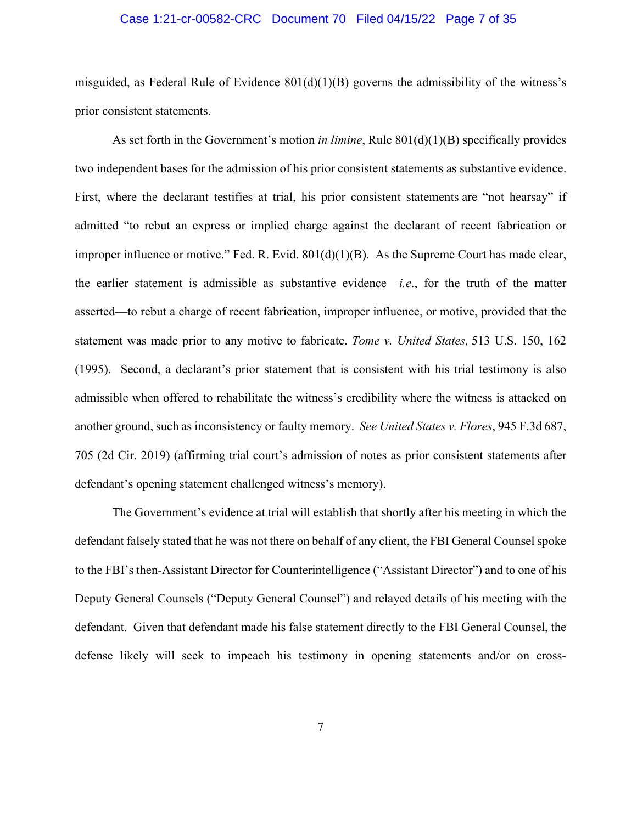#### Case 1:21-cr-00582-CRC Document 70 Filed 04/15/22 Page 7 of 35

misguided, as Federal Rule of Evidence  $801(d)(1)(B)$  governs the admissibility of the witness's prior consistent statements.

As set forth in the Government's motion *in limine*, Rule 801(d)(1)(B) specifically provides two independent bases for the admission of his prior consistent statements as substantive evidence. First, where the declarant testifies at trial, his prior consistent statements are "not hearsay" if admitted "to rebut an express or implied charge against the declarant of recent fabrication or improper influence or motive." Fed. R. Evid. 801(d)(1)(B). As the Supreme Court has made clear, the earlier statement is admissible as substantive evidence—*i.e*., for the truth of the matter asserted—to rebut a charge of recent fabrication, improper influence, or motive, provided that the statement was made prior to any motive to fabricate. *Tome v. United States,* 513 U.S. 150, 162 (1995). Second, a declarant's prior statement that is consistent with his trial testimony is also admissible when offered to rehabilitate the witness's credibility where the witness is attacked on another ground, such as inconsistency or faulty memory. *See United States v. Flores*, 945 F.3d 687, 705 (2d Cir. 2019) (affirming trial court's admission of notes as prior consistent statements after defendant's opening statement challenged witness's memory).

The Government's evidence at trial will establish that shortly after his meeting in which the defendant falsely stated that he was not there on behalf of any client, the FBI General Counsel spoke to the FBI's then-Assistant Director for Counterintelligence ("Assistant Director") and to one of his Deputy General Counsels ("Deputy General Counsel") and relayed details of his meeting with the defendant. Given that defendant made his false statement directly to the FBI General Counsel, the defense likely will seek to impeach his testimony in opening statements and/or on cross-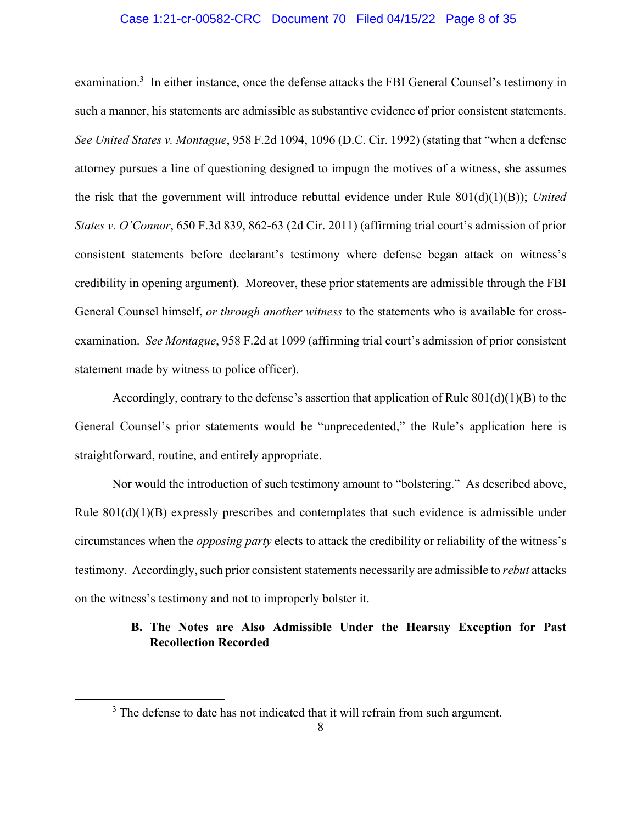#### Case 1:21-cr-00582-CRC Document 70 Filed 04/15/22 Page 8 of 35

examination.<sup>3</sup> In either instance, once the defense attacks the FBI General Counsel's testimony in such a manner, his statements are admissible as substantive evidence of prior consistent statements. *See United States v. Montague*, 958 F.2d 1094, 1096 (D.C. Cir. 1992) (stating that "when a defense attorney pursues a line of questioning designed to impugn the motives of a witness, she assumes the risk that the government will introduce rebuttal evidence under Rule 801(d)(1)(B)); *United States v. O'Connor*, 650 F.3d 839, 862-63 (2d Cir. 2011) (affirming trial court's admission of prior consistent statements before declarant's testimony where defense began attack on witness's credibility in opening argument). Moreover, these prior statements are admissible through the FBI General Counsel himself, *or through another witness* to the statements who is available for crossexamination. *See Montague*, 958 F.2d at 1099 (affirming trial court's admission of prior consistent statement made by witness to police officer).

Accordingly, contrary to the defense's assertion that application of Rule  $801(d)(1)(B)$  to the General Counsel's prior statements would be "unprecedented," the Rule's application here is straightforward, routine, and entirely appropriate.

Nor would the introduction of such testimony amount to "bolstering." As described above, Rule  $801(d)(1)(B)$  expressly prescribes and contemplates that such evidence is admissible under circumstances when the *opposing party* elects to attack the credibility or reliability of the witness's testimony. Accordingly, such prior consistent statements necessarily are admissible to *rebut* attacks on the witness's testimony and not to improperly bolster it.

# **B. The Notes are Also Admissible Under the Hearsay Exception for Past Recollection Recorded**

 $3$  The defense to date has not indicated that it will refrain from such argument.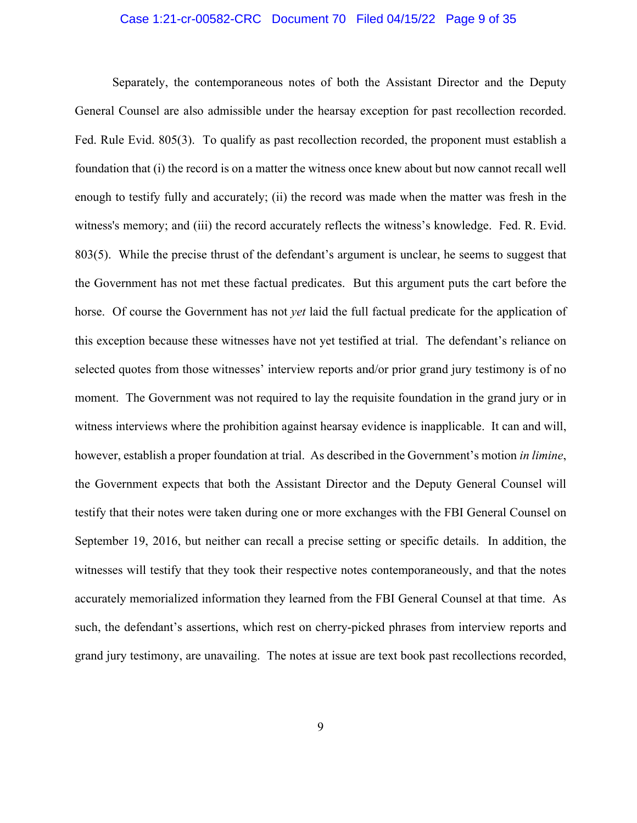#### Case 1:21-cr-00582-CRC Document 70 Filed 04/15/22 Page 9 of 35

Separately, the contemporaneous notes of both the Assistant Director and the Deputy General Counsel are also admissible under the hearsay exception for past recollection recorded. Fed. Rule Evid. 805(3). To qualify as past recollection recorded, the proponent must establish a foundation that (i) the record is on a matter the witness once knew about but now cannot recall well enough to testify fully and accurately; (ii) the record was made when the matter was fresh in the witness's memory; and (iii) the record accurately reflects the witness's knowledge. Fed. R. Evid. 803(5). While the precise thrust of the defendant's argument is unclear, he seems to suggest that the Government has not met these factual predicates. But this argument puts the cart before the horse. Of course the Government has not *yet* laid the full factual predicate for the application of this exception because these witnesses have not yet testified at trial. The defendant's reliance on selected quotes from those witnesses' interview reports and/or prior grand jury testimony is of no moment. The Government was not required to lay the requisite foundation in the grand jury or in witness interviews where the prohibition against hearsay evidence is inapplicable. It can and will, however, establish a proper foundation at trial. As described in the Government's motion *in limine*, the Government expects that both the Assistant Director and the Deputy General Counsel will testify that their notes were taken during one or more exchanges with the FBI General Counsel on September 19, 2016, but neither can recall a precise setting or specific details. In addition, the witnesses will testify that they took their respective notes contemporaneously, and that the notes accurately memorialized information they learned from the FBI General Counsel at that time. As such, the defendant's assertions, which rest on cherry-picked phrases from interview reports and grand jury testimony, are unavailing. The notes at issue are text book past recollections recorded,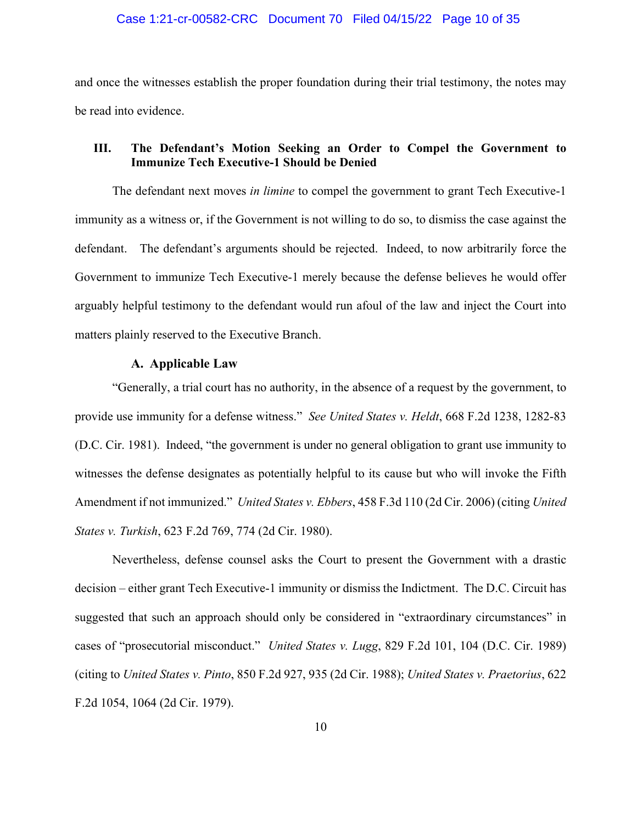and once the witnesses establish the proper foundation during their trial testimony, the notes may be read into evidence.

# **III. The Defendant's Motion Seeking an Order to Compel the Government to Immunize Tech Executive-1 Should be Denied**

The defendant next moves *in limine* to compel the government to grant Tech Executive-1 immunity as a witness or, if the Government is not willing to do so, to dismiss the case against the defendant. The defendant's arguments should be rejected. Indeed, to now arbitrarily force the Government to immunize Tech Executive-1 merely because the defense believes he would offer arguably helpful testimony to the defendant would run afoul of the law and inject the Court into matters plainly reserved to the Executive Branch.

#### **A. Applicable Law**

"Generally, a trial court has no authority, in the absence of a request by the government, to provide use immunity for a defense witness." *See United States v. Heldt*, 668 F.2d 1238, 1282-83 (D.C. Cir. 1981). Indeed, "the government is under no general obligation to grant use immunity to witnesses the defense designates as potentially helpful to its cause but who will invoke the Fifth Amendment if not immunized." *United States v. Ebbers*, 458 F.3d 110 (2d Cir. 2006) (citing *United States v. Turkish*, 623 F.2d 769, 774 (2d Cir. 1980).

Nevertheless, defense counsel asks the Court to present the Government with a drastic decision – either grant Tech Executive-1 immunity or dismiss the Indictment. The D.C. Circuit has suggested that such an approach should only be considered in "extraordinary circumstances" in cases of "prosecutorial misconduct." *United States v. Lugg*, 829 F.2d 101, 104 (D.C. Cir. 1989) (citing to *United States v. Pinto*, 850 F.2d 927, 935 (2d Cir. 1988); *United States v. Praetorius*, 622 F.2d 1054, 1064 (2d Cir. 1979).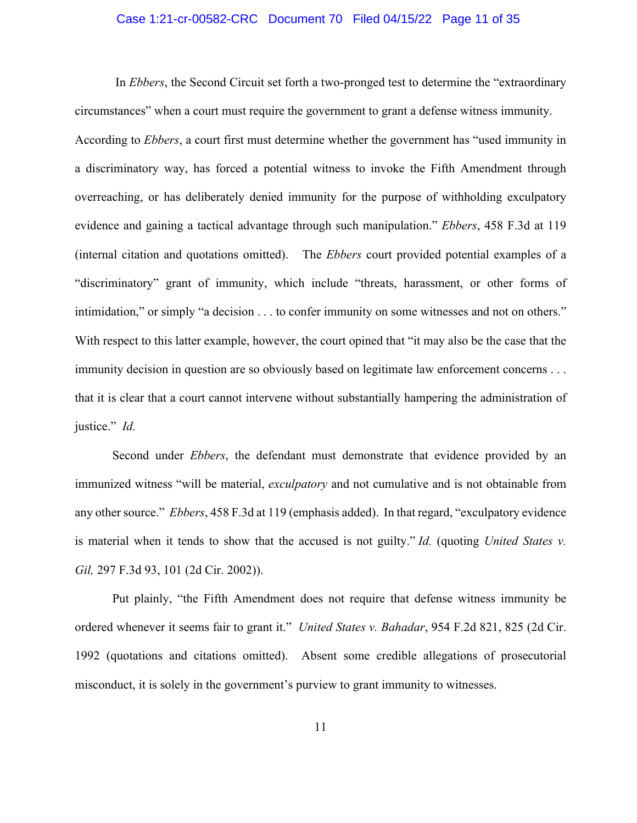#### Case 1:21-cr-00582-CRC Document 70 Filed 04/15/22 Page 11 of 35

 In *Ebbers*, the Second Circuit set forth a two-pronged test to determine the "extraordinary circumstances" when a court must require the government to grant a defense witness immunity. According to *Ebbers*, a court first must determine whether the government has "used immunity in a discriminatory way, has forced a potential witness to invoke the Fifth Amendment through overreaching, or has deliberately denied immunity for the purpose of withholding exculpatory evidence and gaining a tactical advantage through such manipulation." *Ebbers*, 458 F.3d at 119 (internal citation and quotations omitted). The *Ebbers* court provided potential examples of a "discriminatory" grant of immunity, which include "threats, harassment, or other forms of intimidation," or simply "a decision . . . to confer immunity on some witnesses and not on others." With respect to this latter example, however, the court opined that "it may also be the case that the immunity decision in question are so obviously based on legitimate law enforcement concerns . . . that it is clear that a court cannot intervene without substantially hampering the administration of justice." *Id.*

Second under *Ebbers*, the defendant must demonstrate that evidence provided by an immunized witness "will be material, *exculpatory* and not cumulative and is not obtainable from any other source." *Ebbers*, 458 F.3d at 119 (emphasis added). In that regard, "exculpatory evidence is material when it tends to show that the accused is not guilty." *Id.* (quoting *United States v. Gil,* 297 F.3d 93, 101 (2d Cir. 2002)).

Put plainly, "the Fifth Amendment does not require that defense witness immunity be ordered whenever it seems fair to grant it." *United States v. Bahadar*, 954 F.2d 821, 825 (2d Cir. 1992 (quotations and citations omitted). Absent some credible allegations of prosecutorial misconduct, it is solely in the government's purview to grant immunity to witnesses.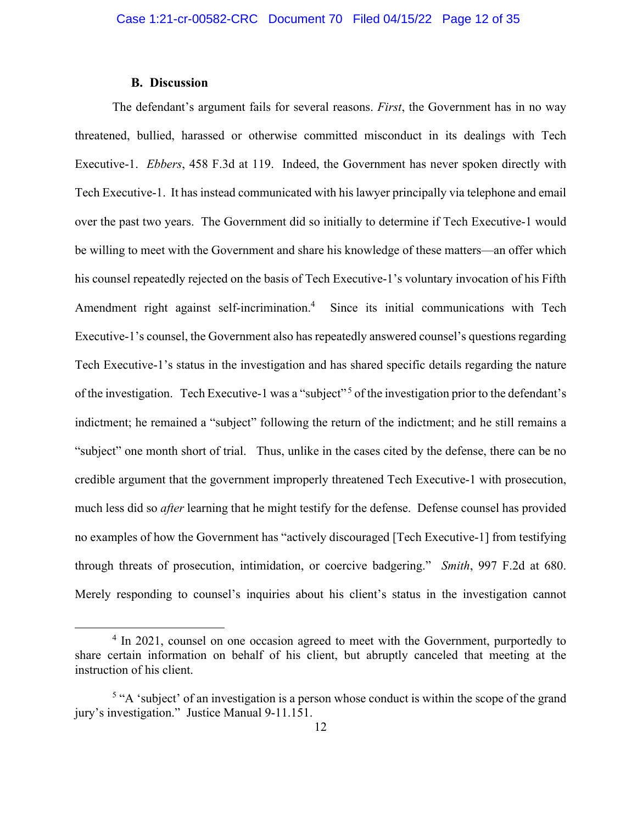### **B. Discussion**

The defendant's argument fails for several reasons. *First*, the Government has in no way threatened, bullied, harassed or otherwise committed misconduct in its dealings with Tech Executive-1. *Ebbers*, 458 F.3d at 119. Indeed, the Government has never spoken directly with Tech Executive-1. It has instead communicated with his lawyer principally via telephone and email over the past two years. The Government did so initially to determine if Tech Executive-1 would be willing to meet with the Government and share his knowledge of these matters—an offer which his counsel repeatedly rejected on the basis of Tech Executive-1's voluntary invocation of his Fifth Amendment right against self-incrimination.<sup>4</sup> Since its initial communications with Tech Executive-1's counsel, the Government also has repeatedly answered counsel's questions regarding Tech Executive-1's status in the investigation and has shared specific details regarding the nature of the investigation. Tech Executive-1 was a "subject" 5 of the investigation prior to the defendant's indictment; he remained a "subject" following the return of the indictment; and he still remains a "subject" one month short of trial. Thus, unlike in the cases cited by the defense, there can be no credible argument that the government improperly threatened Tech Executive-1 with prosecution, much less did so *after* learning that he might testify for the defense. Defense counsel has provided no examples of how the Government has "actively discouraged [Tech Executive-1] from testifying through threats of prosecution, intimidation, or coercive badgering." *Smith*, 997 F.2d at 680. Merely responding to counsel's inquiries about his client's status in the investigation cannot

<sup>&</sup>lt;sup>4</sup> In 2021, counsel on one occasion agreed to meet with the Government, purportedly to share certain information on behalf of his client, but abruptly canceled that meeting at the instruction of his client.

 $<sup>5</sup>$  "A 'subject' of an investigation is a person whose conduct is within the scope of the grand</sup> jury's investigation." Justice Manual 9-11.151.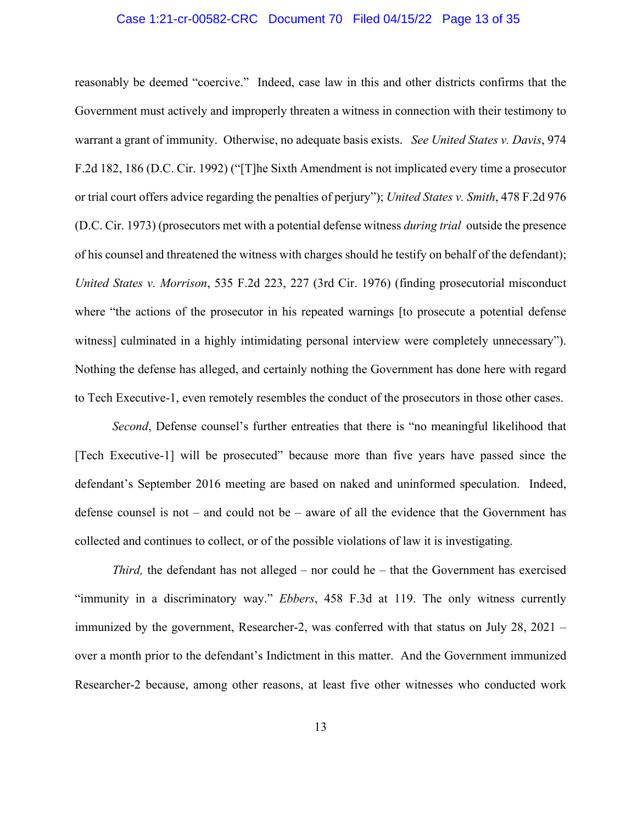#### Case 1:21-cr-00582-CRC Document 70 Filed 04/15/22 Page 13 of 35

reasonably be deemed "coercive." Indeed, case law in this and other districts confirms that the Government must actively and improperly threaten a witness in connection with their testimony to warrant a grant of immunity. Otherwise, no adequate basis exists. *See United States v. Davis*, 974 F.2d 182, 186 (D.C. Cir. 1992) ("[T]he Sixth Amendment is not implicated every time a prosecutor or trial court offers advice regarding the penalties of perjury"); *United States v. Smith*, 478 F.2d 976 (D.C. Cir. 1973) (prosecutors met with a potential defense witness *during trial* outside the presence of his counsel and threatened the witness with charges should he testify on behalf of the defendant); *United States v. Morrison*, 535 F.2d 223, 227 (3rd Cir. 1976) (finding prosecutorial misconduct where "the actions of the prosecutor in his repeated warnings [to prosecute a potential defense witness] culminated in a highly intimidating personal interview were completely unnecessary"). Nothing the defense has alleged, and certainly nothing the Government has done here with regard to Tech Executive-1, even remotely resembles the conduct of the prosecutors in those other cases.

*Second*, Defense counsel's further entreaties that there is "no meaningful likelihood that [Tech Executive-1] will be prosecuted" because more than five years have passed since the defendant's September 2016 meeting are based on naked and uninformed speculation. Indeed, defense counsel is not – and could not be – aware of all the evidence that the Government has collected and continues to collect, or of the possible violations of law it is investigating.

*Third*, the defendant has not alleged – nor could he – that the Government has exercised "immunity in a discriminatory way." *Ebbers*, 458 F.3d at 119. The only witness currently immunized by the government, Researcher-2, was conferred with that status on July 28, 2021 – over a month prior to the defendant's Indictment in this matter. And the Government immunized Researcher-2 because, among other reasons, at least five other witnesses who conducted work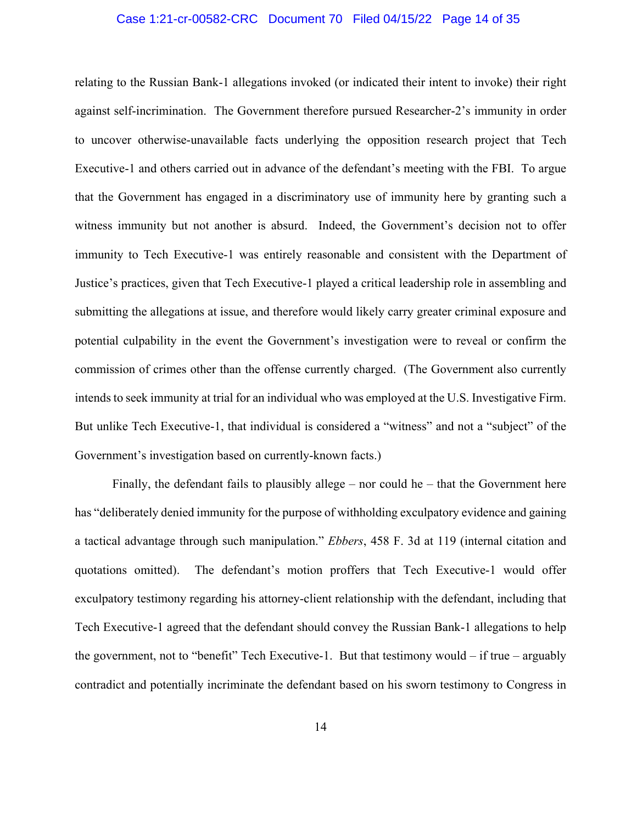#### Case 1:21-cr-00582-CRC Document 70 Filed 04/15/22 Page 14 of 35

relating to the Russian Bank-1 allegations invoked (or indicated their intent to invoke) their right against self-incrimination. The Government therefore pursued Researcher-2's immunity in order to uncover otherwise-unavailable facts underlying the opposition research project that Tech Executive-1 and others carried out in advance of the defendant's meeting with the FBI. To argue that the Government has engaged in a discriminatory use of immunity here by granting such a witness immunity but not another is absurd. Indeed, the Government's decision not to offer immunity to Tech Executive-1 was entirely reasonable and consistent with the Department of Justice's practices, given that Tech Executive-1 played a critical leadership role in assembling and submitting the allegations at issue, and therefore would likely carry greater criminal exposure and potential culpability in the event the Government's investigation were to reveal or confirm the commission of crimes other than the offense currently charged. (The Government also currently intends to seek immunity at trial for an individual who was employed at the U.S. Investigative Firm. But unlike Tech Executive-1, that individual is considered a "witness" and not a "subject" of the Government's investigation based on currently-known facts.)

Finally, the defendant fails to plausibly allege – nor could he – that the Government here has "deliberately denied immunity for the purpose of withholding exculpatory evidence and gaining a tactical advantage through such manipulation." *Ebbers*, 458 F. 3d at 119 (internal citation and quotations omitted). The defendant's motion proffers that Tech Executive-1 would offer exculpatory testimony regarding his attorney-client relationship with the defendant, including that Tech Executive-1 agreed that the defendant should convey the Russian Bank-1 allegations to help the government, not to "benefit" Tech Executive-1. But that testimony would  $-$  if true  $-$  arguably contradict and potentially incriminate the defendant based on his sworn testimony to Congress in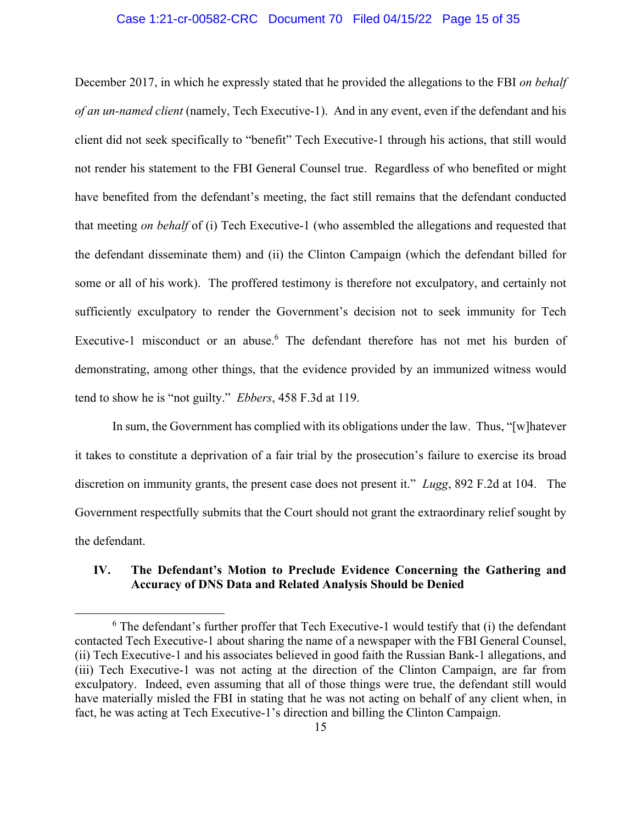#### Case 1:21-cr-00582-CRC Document 70 Filed 04/15/22 Page 15 of 35

December 2017, in which he expressly stated that he provided the allegations to the FBI *on behalf of an un-named client* (namely, Tech Executive-1). And in any event, even if the defendant and his client did not seek specifically to "benefit" Tech Executive-1 through his actions, that still would not render his statement to the FBI General Counsel true. Regardless of who benefited or might have benefited from the defendant's meeting, the fact still remains that the defendant conducted that meeting *on behalf* of (i) Tech Executive-1 (who assembled the allegations and requested that the defendant disseminate them) and (ii) the Clinton Campaign (which the defendant billed for some or all of his work). The proffered testimony is therefore not exculpatory, and certainly not sufficiently exculpatory to render the Government's decision not to seek immunity for Tech Executive-1 misconduct or an abuse.<sup>6</sup> The defendant therefore has not met his burden of demonstrating, among other things, that the evidence provided by an immunized witness would tend to show he is "not guilty." *Ebbers*, 458 F.3d at 119.

In sum, the Government has complied with its obligations under the law. Thus, "[w]hatever it takes to constitute a deprivation of a fair trial by the prosecution's failure to exercise its broad discretion on immunity grants, the present case does not present it." *Lugg*, 892 F.2d at 104. The Government respectfully submits that the Court should not grant the extraordinary relief sought by the defendant.

# **IV. The Defendant's Motion to Preclude Evidence Concerning the Gathering and Accuracy of DNS Data and Related Analysis Should be Denied**

 $6$  The defendant's further proffer that Tech Executive-1 would testify that (i) the defendant contacted Tech Executive-1 about sharing the name of a newspaper with the FBI General Counsel, (ii) Tech Executive-1 and his associates believed in good faith the Russian Bank-1 allegations, and (iii) Tech Executive-1 was not acting at the direction of the Clinton Campaign, are far from exculpatory. Indeed, even assuming that all of those things were true, the defendant still would have materially misled the FBI in stating that he was not acting on behalf of any client when, in fact, he was acting at Tech Executive-1's direction and billing the Clinton Campaign.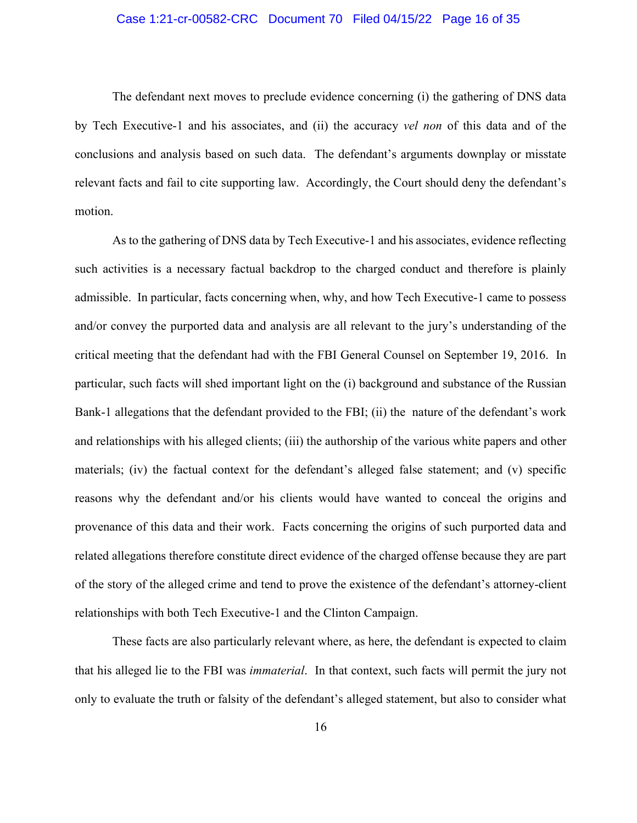### Case 1:21-cr-00582-CRC Document 70 Filed 04/15/22 Page 16 of 35

The defendant next moves to preclude evidence concerning (i) the gathering of DNS data by Tech Executive-1 and his associates, and (ii) the accuracy *vel non* of this data and of the conclusions and analysis based on such data. The defendant's arguments downplay or misstate relevant facts and fail to cite supporting law. Accordingly, the Court should deny the defendant's motion.

As to the gathering of DNS data by Tech Executive-1 and his associates, evidence reflecting such activities is a necessary factual backdrop to the charged conduct and therefore is plainly admissible. In particular, facts concerning when, why, and how Tech Executive-1 came to possess and/or convey the purported data and analysis are all relevant to the jury's understanding of the critical meeting that the defendant had with the FBI General Counsel on September 19, 2016. In particular, such facts will shed important light on the (i) background and substance of the Russian Bank-1 allegations that the defendant provided to the FBI; (ii) the nature of the defendant's work and relationships with his alleged clients; (iii) the authorship of the various white papers and other materials; (iv) the factual context for the defendant's alleged false statement; and (v) specific reasons why the defendant and/or his clients would have wanted to conceal the origins and provenance of this data and their work. Facts concerning the origins of such purported data and related allegations therefore constitute direct evidence of the charged offense because they are part of the story of the alleged crime and tend to prove the existence of the defendant's attorney-client relationships with both Tech Executive-1 and the Clinton Campaign.

These facts are also particularly relevant where, as here, the defendant is expected to claim that his alleged lie to the FBI was *immaterial*. In that context, such facts will permit the jury not only to evaluate the truth or falsity of the defendant's alleged statement, but also to consider what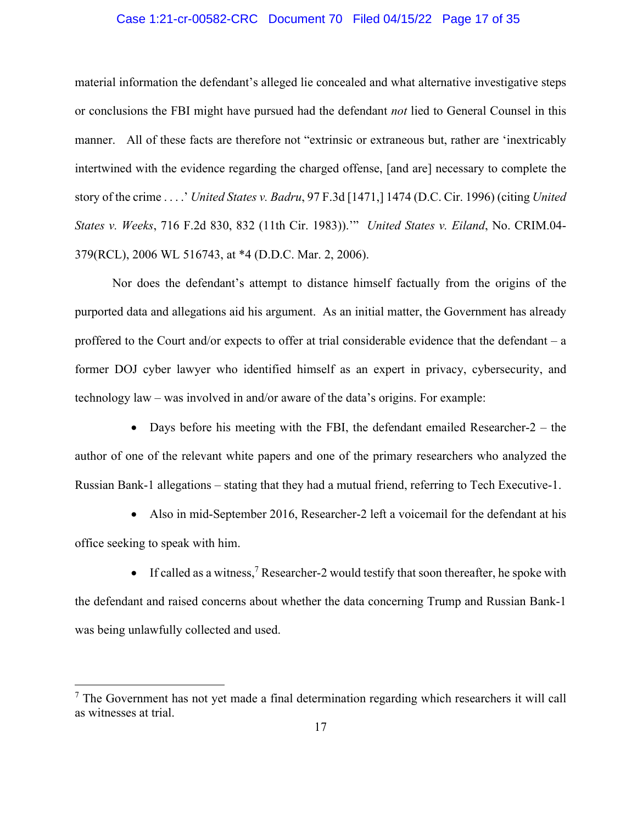# Case 1:21-cr-00582-CRC Document 70 Filed 04/15/22 Page 17 of 35

material information the defendant's alleged lie concealed and what alternative investigative steps or conclusions the FBI might have pursued had the defendant *not* lied to General Counsel in this manner. All of these facts are therefore not "extrinsic or extraneous but, rather are 'inextricably intertwined with the evidence regarding the charged offense, [and are] necessary to complete the story of the crime . . . .' *United States v. Badru*, 97 F.3d [1471,] 1474 (D.C. Cir. 1996) (citing *United States v. Weeks*, 716 F.2d 830, 832 (11th Cir. 1983)).'" *United States v. Eiland*, No. CRIM.04- 379(RCL), 2006 WL 516743, at \*4 (D.D.C. Mar. 2, 2006).

Nor does the defendant's attempt to distance himself factually from the origins of the purported data and allegations aid his argument. As an initial matter, the Government has already proffered to the Court and/or expects to offer at trial considerable evidence that the defendant – a former DOJ cyber lawyer who identified himself as an expert in privacy, cybersecurity, and technology law – was involved in and/or aware of the data's origins. For example:

• Days before his meeting with the FBI, the defendant emailed Researcher-2 – the author of one of the relevant white papers and one of the primary researchers who analyzed the Russian Bank-1 allegations – stating that they had a mutual friend, referring to Tech Executive-1.

 Also in mid-September 2016, Researcher-2 left a voicemail for the defendant at his office seeking to speak with him.

 $\bullet$  If called as a witness,<sup>7</sup> Researcher-2 would testify that soon thereafter, he spoke with the defendant and raised concerns about whether the data concerning Trump and Russian Bank-1 was being unlawfully collected and used.

 $<sup>7</sup>$  The Government has not yet made a final determination regarding which researchers it will call</sup> as witnesses at trial.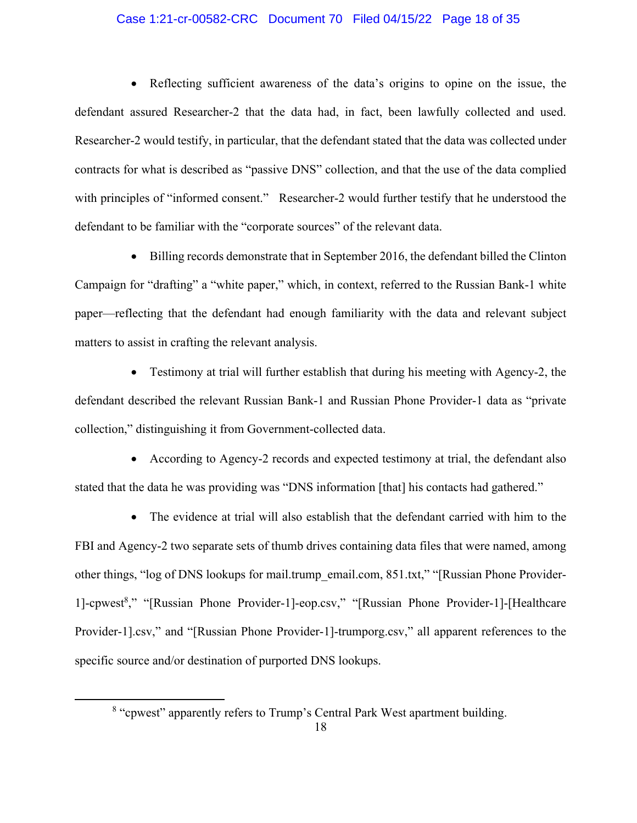### Case 1:21-cr-00582-CRC Document 70 Filed 04/15/22 Page 18 of 35

 Reflecting sufficient awareness of the data's origins to opine on the issue, the defendant assured Researcher-2 that the data had, in fact, been lawfully collected and used. Researcher-2 would testify, in particular, that the defendant stated that the data was collected under contracts for what is described as "passive DNS" collection, and that the use of the data complied with principles of "informed consent." Researcher-2 would further testify that he understood the defendant to be familiar with the "corporate sources" of the relevant data.

 Billing records demonstrate that in September 2016, the defendant billed the Clinton Campaign for "drafting" a "white paper," which, in context, referred to the Russian Bank-1 white paper—reflecting that the defendant had enough familiarity with the data and relevant subject matters to assist in crafting the relevant analysis.

 Testimony at trial will further establish that during his meeting with Agency-2, the defendant described the relevant Russian Bank-1 and Russian Phone Provider-1 data as "private collection," distinguishing it from Government-collected data.

 According to Agency-2 records and expected testimony at trial, the defendant also stated that the data he was providing was "DNS information [that] his contacts had gathered."

 The evidence at trial will also establish that the defendant carried with him to the FBI and Agency-2 two separate sets of thumb drives containing data files that were named, among other things, "log of DNS lookups for mail.trump\_email.com, 851.txt," "[Russian Phone Provider-1]-cpwest<sup>8</sup>," "[Russian Phone Provider-1]-eop.csv," "[Russian Phone Provider-1]-[Healthcare Provider-1].csv," and "[Russian Phone Provider-1]-trumporg.csv," all apparent references to the specific source and/or destination of purported DNS lookups.

<sup>&</sup>lt;sup>8</sup> "cpwest" apparently refers to Trump's Central Park West apartment building.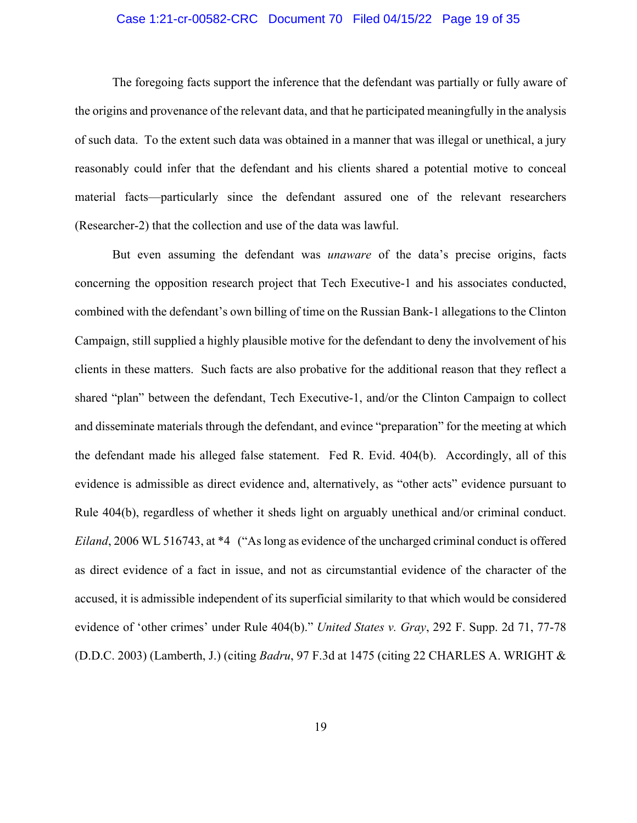#### Case 1:21-cr-00582-CRC Document 70 Filed 04/15/22 Page 19 of 35

The foregoing facts support the inference that the defendant was partially or fully aware of the origins and provenance of the relevant data, and that he participated meaningfully in the analysis of such data. To the extent such data was obtained in a manner that was illegal or unethical, a jury reasonably could infer that the defendant and his clients shared a potential motive to conceal material facts—particularly since the defendant assured one of the relevant researchers (Researcher-2) that the collection and use of the data was lawful.

But even assuming the defendant was *unaware* of the data's precise origins, facts concerning the opposition research project that Tech Executive-1 and his associates conducted, combined with the defendant's own billing of time on the Russian Bank-1 allegations to the Clinton Campaign, still supplied a highly plausible motive for the defendant to deny the involvement of his clients in these matters. Such facts are also probative for the additional reason that they reflect a shared "plan" between the defendant, Tech Executive-1, and/or the Clinton Campaign to collect and disseminate materials through the defendant, and evince "preparation" for the meeting at which the defendant made his alleged false statement. Fed R. Evid. 404(b). Accordingly, all of this evidence is admissible as direct evidence and, alternatively, as "other acts" evidence pursuant to Rule 404(b), regardless of whether it sheds light on arguably unethical and/or criminal conduct. *Eiland*, 2006 WL 516743, at \*4 ("As long as evidence of the uncharged criminal conduct is offered as direct evidence of a fact in issue, and not as circumstantial evidence of the character of the accused, it is admissible independent of its superficial similarity to that which would be considered evidence of 'other crimes' under Rule 404(b)." *United States v. Gray*, 292 F. Supp. 2d 71, 77-78 (D.D.C. 2003) (Lamberth, J.) (citing *Badru*, 97 F.3d at 1475 (citing 22 CHARLES A. WRIGHT &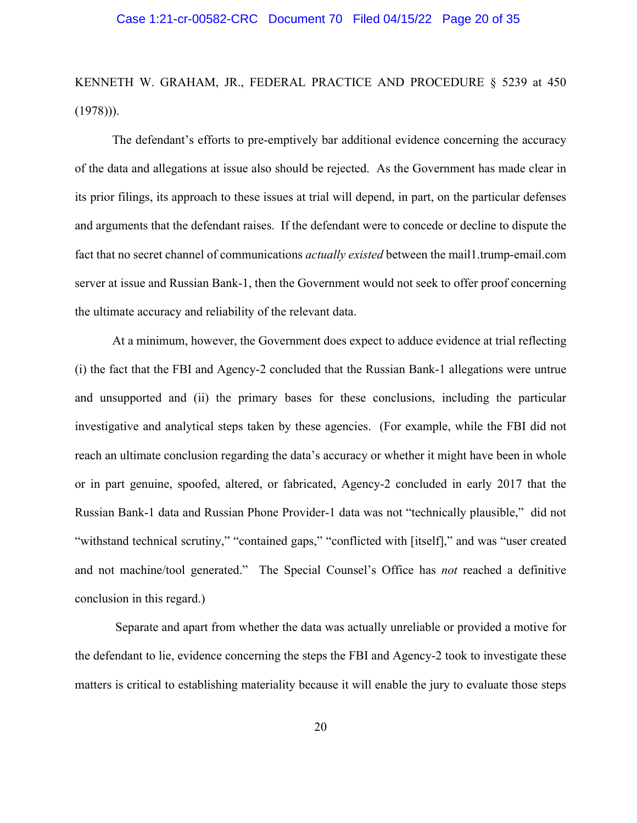KENNETH W. GRAHAM, JR., FEDERAL PRACTICE AND PROCEDURE § 5239 at 450  $(1978))$ .

The defendant's efforts to pre-emptively bar additional evidence concerning the accuracy of the data and allegations at issue also should be rejected. As the Government has made clear in its prior filings, its approach to these issues at trial will depend, in part, on the particular defenses and arguments that the defendant raises. If the defendant were to concede or decline to dispute the fact that no secret channel of communications *actually existed* between the mail1.trump-email.com server at issue and Russian Bank-1, then the Government would not seek to offer proof concerning the ultimate accuracy and reliability of the relevant data.

At a minimum, however, the Government does expect to adduce evidence at trial reflecting (i) the fact that the FBI and Agency-2 concluded that the Russian Bank-1 allegations were untrue and unsupported and (ii) the primary bases for these conclusions, including the particular investigative and analytical steps taken by these agencies. (For example, while the FBI did not reach an ultimate conclusion regarding the data's accuracy or whether it might have been in whole or in part genuine, spoofed, altered, or fabricated, Agency-2 concluded in early 2017 that the Russian Bank-1 data and Russian Phone Provider-1 data was not "technically plausible," did not "withstand technical scrutiny," "contained gaps," "conflicted with [itself]," and was "user created and not machine/tool generated." The Special Counsel's Office has *not* reached a definitive conclusion in this regard.)

 Separate and apart from whether the data was actually unreliable or provided a motive for the defendant to lie, evidence concerning the steps the FBI and Agency-2 took to investigate these matters is critical to establishing materiality because it will enable the jury to evaluate those steps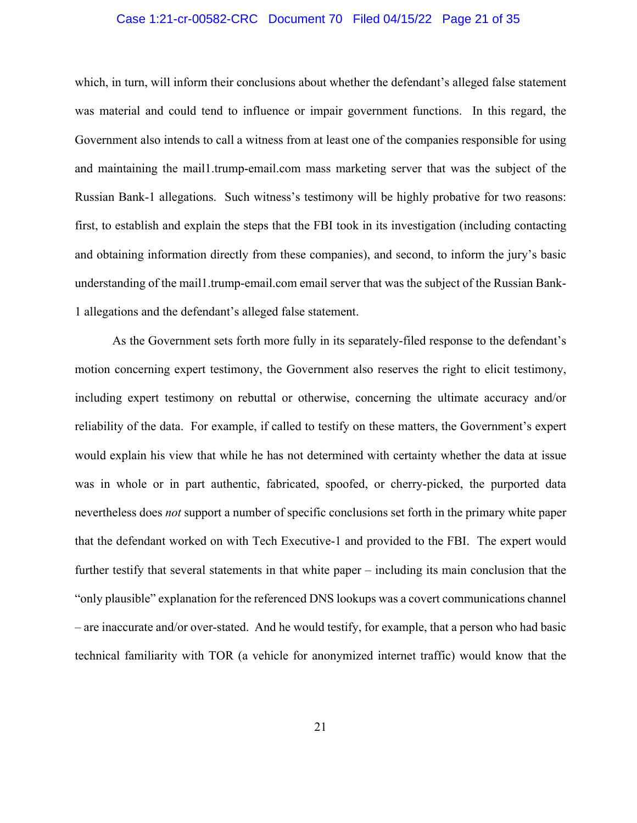#### Case 1:21-cr-00582-CRC Document 70 Filed 04/15/22 Page 21 of 35

which, in turn, will inform their conclusions about whether the defendant's alleged false statement was material and could tend to influence or impair government functions. In this regard, the Government also intends to call a witness from at least one of the companies responsible for using and maintaining the mail1.trump-email.com mass marketing server that was the subject of the Russian Bank-1 allegations. Such witness's testimony will be highly probative for two reasons: first, to establish and explain the steps that the FBI took in its investigation (including contacting and obtaining information directly from these companies), and second, to inform the jury's basic understanding of the mail1.trump-email.com email server that was the subject of the Russian Bank-1 allegations and the defendant's alleged false statement.

As the Government sets forth more fully in its separately-filed response to the defendant's motion concerning expert testimony, the Government also reserves the right to elicit testimony, including expert testimony on rebuttal or otherwise, concerning the ultimate accuracy and/or reliability of the data. For example, if called to testify on these matters, the Government's expert would explain his view that while he has not determined with certainty whether the data at issue was in whole or in part authentic, fabricated, spoofed, or cherry-picked, the purported data nevertheless does *not* support a number of specific conclusions set forth in the primary white paper that the defendant worked on with Tech Executive-1 and provided to the FBI. The expert would further testify that several statements in that white paper – including its main conclusion that the "only plausible" explanation for the referenced DNS lookups was a covert communications channel – are inaccurate and/or over-stated. And he would testify, for example, that a person who had basic technical familiarity with TOR (a vehicle for anonymized internet traffic) would know that the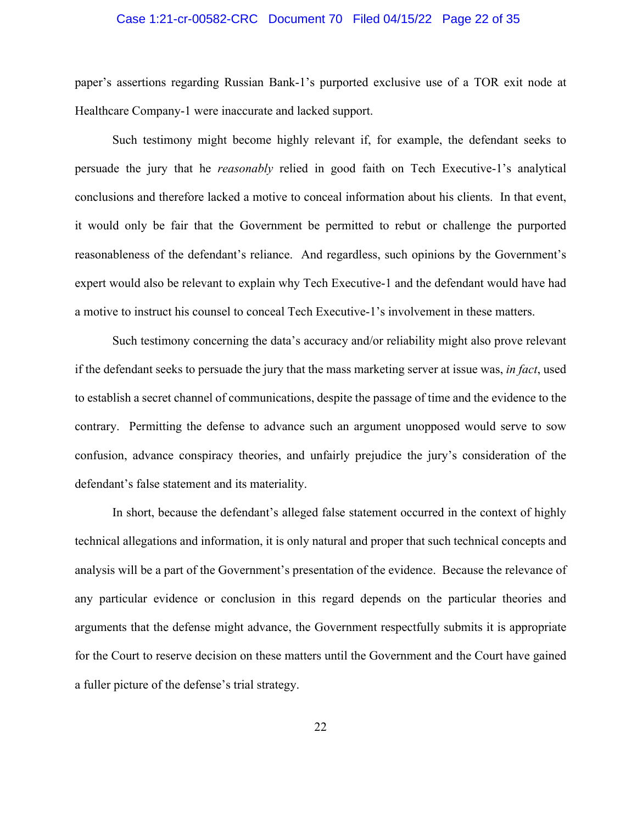#### Case 1:21-cr-00582-CRC Document 70 Filed 04/15/22 Page 22 of 35

paper's assertions regarding Russian Bank-1's purported exclusive use of a TOR exit node at Healthcare Company-1 were inaccurate and lacked support.

Such testimony might become highly relevant if, for example, the defendant seeks to persuade the jury that he *reasonably* relied in good faith on Tech Executive-1's analytical conclusions and therefore lacked a motive to conceal information about his clients. In that event, it would only be fair that the Government be permitted to rebut or challenge the purported reasonableness of the defendant's reliance. And regardless, such opinions by the Government's expert would also be relevant to explain why Tech Executive-1 and the defendant would have had a motive to instruct his counsel to conceal Tech Executive-1's involvement in these matters.

Such testimony concerning the data's accuracy and/or reliability might also prove relevant if the defendant seeks to persuade the jury that the mass marketing server at issue was, *in fact*, used to establish a secret channel of communications, despite the passage of time and the evidence to the contrary. Permitting the defense to advance such an argument unopposed would serve to sow confusion, advance conspiracy theories, and unfairly prejudice the jury's consideration of the defendant's false statement and its materiality.

In short, because the defendant's alleged false statement occurred in the context of highly technical allegations and information, it is only natural and proper that such technical concepts and analysis will be a part of the Government's presentation of the evidence. Because the relevance of any particular evidence or conclusion in this regard depends on the particular theories and arguments that the defense might advance, the Government respectfully submits it is appropriate for the Court to reserve decision on these matters until the Government and the Court have gained a fuller picture of the defense's trial strategy.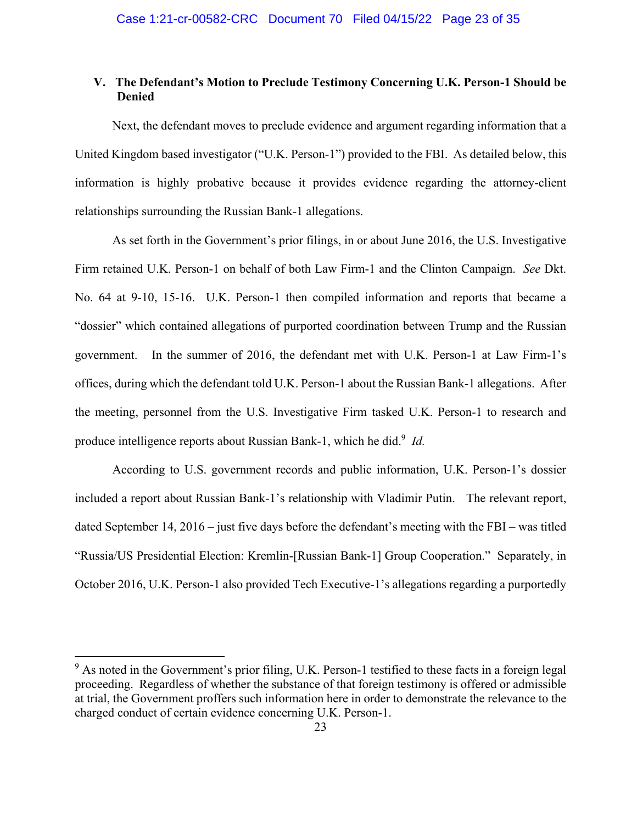# **V. The Defendant's Motion to Preclude Testimony Concerning U.K. Person-1 Should be Denied**

Next, the defendant moves to preclude evidence and argument regarding information that a United Kingdom based investigator ("U.K. Person-1") provided to the FBI. As detailed below, this information is highly probative because it provides evidence regarding the attorney-client relationships surrounding the Russian Bank-1 allegations.

As set forth in the Government's prior filings, in or about June 2016, the U.S. Investigative Firm retained U.K. Person-1 on behalf of both Law Firm-1 and the Clinton Campaign. *See* Dkt. No. 64 at 9-10, 15-16. U.K. Person-1 then compiled information and reports that became a "dossier" which contained allegations of purported coordination between Trump and the Russian government. In the summer of 2016, the defendant met with U.K. Person-1 at Law Firm-1's offices, during which the defendant told U.K. Person-1 about the Russian Bank-1 allegations. After the meeting, personnel from the U.S. Investigative Firm tasked U.K. Person-1 to research and produce intelligence reports about Russian Bank-1, which he did.<sup>9</sup> *Id.* 

According to U.S. government records and public information, U.K. Person-1's dossier included a report about Russian Bank-1's relationship with Vladimir Putin. The relevant report, dated September 14, 2016 – just five days before the defendant's meeting with the FBI – was titled "Russia/US Presidential Election: Kremlin-[Russian Bank-1] Group Cooperation." Separately, in October 2016, U.K. Person-1 also provided Tech Executive-1's allegations regarding a purportedly

<sup>&</sup>lt;sup>9</sup> As noted in the Government's prior filing, U.K. Person-1 testified to these facts in a foreign legal proceeding. Regardless of whether the substance of that foreign testimony is offered or admissible at trial, the Government proffers such information here in order to demonstrate the relevance to the charged conduct of certain evidence concerning U.K. Person-1.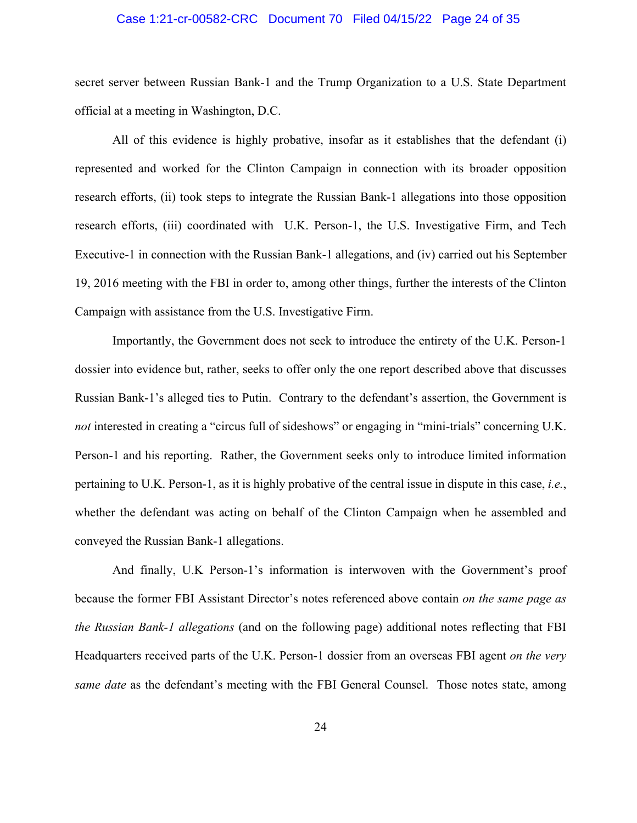#### Case 1:21-cr-00582-CRC Document 70 Filed 04/15/22 Page 24 of 35

secret server between Russian Bank-1 and the Trump Organization to a U.S. State Department official at a meeting in Washington, D.C.

All of this evidence is highly probative, insofar as it establishes that the defendant (i) represented and worked for the Clinton Campaign in connection with its broader opposition research efforts, (ii) took steps to integrate the Russian Bank-1 allegations into those opposition research efforts, (iii) coordinated with U.K. Person-1, the U.S. Investigative Firm, and Tech Executive-1 in connection with the Russian Bank-1 allegations, and (iv) carried out his September 19, 2016 meeting with the FBI in order to, among other things, further the interests of the Clinton Campaign with assistance from the U.S. Investigative Firm.

Importantly, the Government does not seek to introduce the entirety of the U.K. Person-1 dossier into evidence but, rather, seeks to offer only the one report described above that discusses Russian Bank-1's alleged ties to Putin. Contrary to the defendant's assertion, the Government is *not* interested in creating a "circus full of sideshows" or engaging in "mini-trials" concerning U.K. Person-1 and his reporting. Rather, the Government seeks only to introduce limited information pertaining to U.K. Person-1, as it is highly probative of the central issue in dispute in this case, *i.e.*, whether the defendant was acting on behalf of the Clinton Campaign when he assembled and conveyed the Russian Bank-1 allegations.

And finally, U.K Person-1's information is interwoven with the Government's proof because the former FBI Assistant Director's notes referenced above contain *on the same page as the Russian Bank-1 allegations* (and on the following page) additional notes reflecting that FBI Headquarters received parts of the U.K. Person-1 dossier from an overseas FBI agent *on the very same date* as the defendant's meeting with the FBI General Counsel. Those notes state, among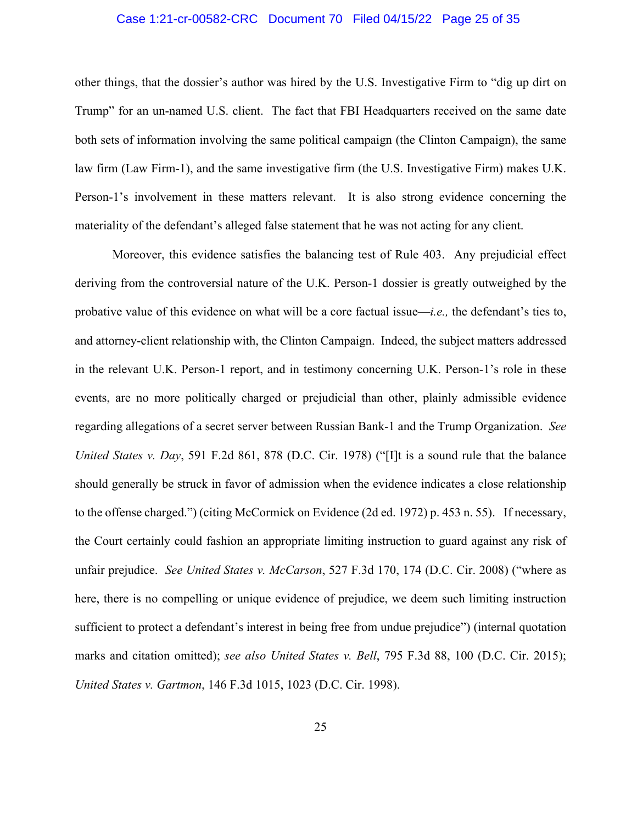#### Case 1:21-cr-00582-CRC Document 70 Filed 04/15/22 Page 25 of 35

other things, that the dossier's author was hired by the U.S. Investigative Firm to "dig up dirt on Trump" for an un-named U.S. client. The fact that FBI Headquarters received on the same date both sets of information involving the same political campaign (the Clinton Campaign), the same law firm (Law Firm-1), and the same investigative firm (the U.S. Investigative Firm) makes U.K. Person-1's involvement in these matters relevant. It is also strong evidence concerning the materiality of the defendant's alleged false statement that he was not acting for any client.

Moreover, this evidence satisfies the balancing test of Rule 403. Any prejudicial effect deriving from the controversial nature of the U.K. Person-1 dossier is greatly outweighed by the probative value of this evidence on what will be a core factual issue—*i.e.,* the defendant's ties to, and attorney-client relationship with, the Clinton Campaign. Indeed, the subject matters addressed in the relevant U.K. Person-1 report, and in testimony concerning U.K. Person-1's role in these events, are no more politically charged or prejudicial than other, plainly admissible evidence regarding allegations of a secret server between Russian Bank-1 and the Trump Organization. *See United States v. Day*, 591 F.2d 861, 878 (D.C. Cir. 1978) ("[I]t is a sound rule that the balance should generally be struck in favor of admission when the evidence indicates a close relationship to the offense charged.") (citing McCormick on Evidence (2d ed. 1972) p. 453 n. 55). If necessary, the Court certainly could fashion an appropriate limiting instruction to guard against any risk of unfair prejudice. *See United States v. McCarson*, 527 F.3d 170, 174 (D.C. Cir. 2008) ("where as here, there is no compelling or unique evidence of prejudice, we deem such limiting instruction sufficient to protect a defendant's interest in being free from undue prejudice") (internal quotation marks and citation omitted); *see also United States v. Bell*, 795 F.3d 88, 100 (D.C. Cir. 2015); *United States v. Gartmon*, 146 F.3d 1015, 1023 (D.C. Cir. 1998).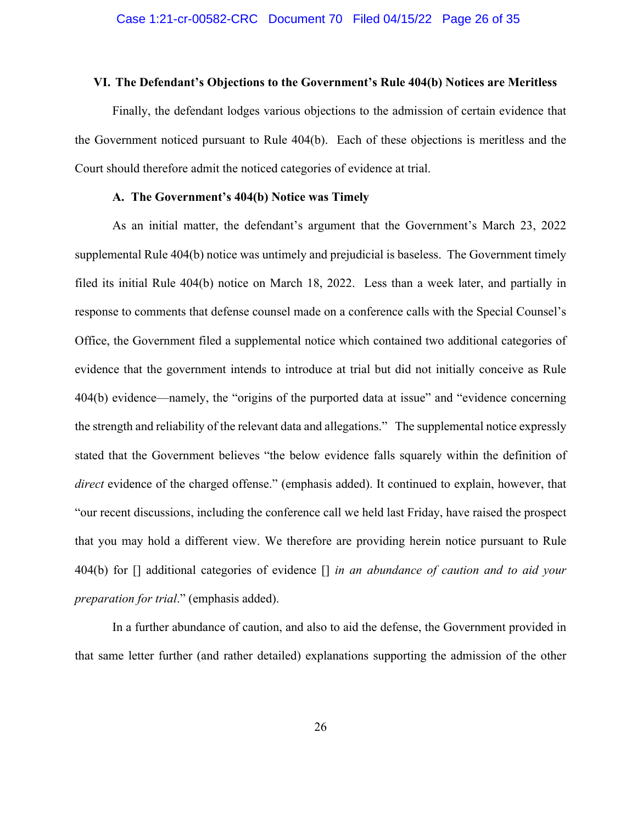#### **VI. The Defendant's Objections to the Government's Rule 404(b) Notices are Meritless**

Finally, the defendant lodges various objections to the admission of certain evidence that the Government noticed pursuant to Rule 404(b). Each of these objections is meritless and the Court should therefore admit the noticed categories of evidence at trial.

#### **A. The Government's 404(b) Notice was Timely**

As an initial matter, the defendant's argument that the Government's March 23, 2022 supplemental Rule 404(b) notice was untimely and prejudicial is baseless. The Government timely filed its initial Rule 404(b) notice on March 18, 2022. Less than a week later, and partially in response to comments that defense counsel made on a conference calls with the Special Counsel's Office, the Government filed a supplemental notice which contained two additional categories of evidence that the government intends to introduce at trial but did not initially conceive as Rule 404(b) evidence—namely, the "origins of the purported data at issue" and "evidence concerning the strength and reliability of the relevant data and allegations." The supplemental notice expressly stated that the Government believes "the below evidence falls squarely within the definition of *direct* evidence of the charged offense." (emphasis added). It continued to explain, however, that "our recent discussions, including the conference call we held last Friday, have raised the prospect that you may hold a different view. We therefore are providing herein notice pursuant to Rule 404(b) for [] additional categories of evidence [] *in an abundance of caution and to aid your preparation for trial*." (emphasis added).

In a further abundance of caution, and also to aid the defense, the Government provided in that same letter further (and rather detailed) explanations supporting the admission of the other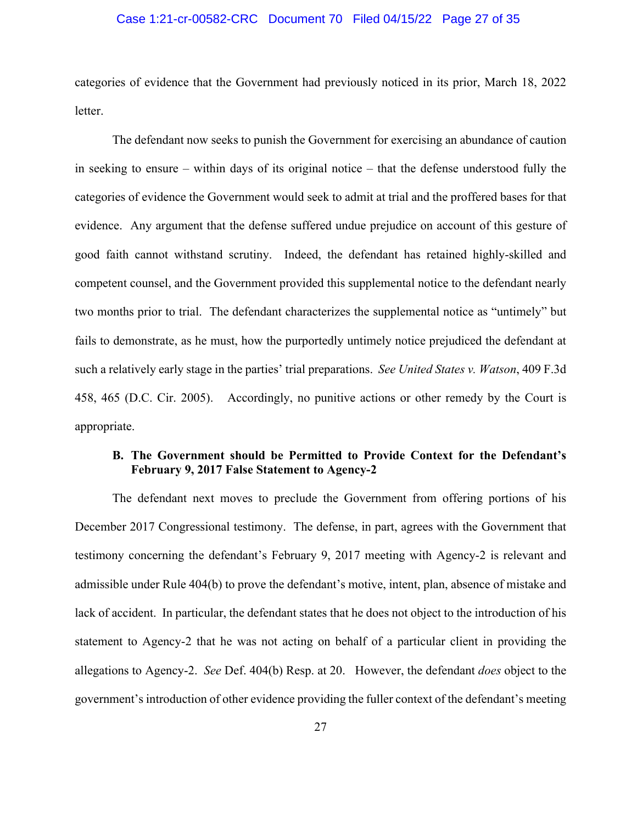#### Case 1:21-cr-00582-CRC Document 70 Filed 04/15/22 Page 27 of 35

categories of evidence that the Government had previously noticed in its prior, March 18, 2022 letter.

The defendant now seeks to punish the Government for exercising an abundance of caution in seeking to ensure – within days of its original notice – that the defense understood fully the categories of evidence the Government would seek to admit at trial and the proffered bases for that evidence. Any argument that the defense suffered undue prejudice on account of this gesture of good faith cannot withstand scrutiny. Indeed, the defendant has retained highly-skilled and competent counsel, and the Government provided this supplemental notice to the defendant nearly two months prior to trial. The defendant characterizes the supplemental notice as "untimely" but fails to demonstrate, as he must, how the purportedly untimely notice prejudiced the defendant at such a relatively early stage in the parties' trial preparations. *See United States v. Watson*, 409 F.3d 458, 465 (D.C. Cir. 2005). Accordingly, no punitive actions or other remedy by the Court is appropriate.

# **B. The Government should be Permitted to Provide Context for the Defendant's February 9, 2017 False Statement to Agency-2**

The defendant next moves to preclude the Government from offering portions of his December 2017 Congressional testimony. The defense, in part, agrees with the Government that testimony concerning the defendant's February 9, 2017 meeting with Agency-2 is relevant and admissible under Rule 404(b) to prove the defendant's motive, intent, plan, absence of mistake and lack of accident. In particular, the defendant states that he does not object to the introduction of his statement to Agency-2 that he was not acting on behalf of a particular client in providing the allegations to Agency-2. *See* Def. 404(b) Resp. at 20. However, the defendant *does* object to the government's introduction of other evidence providing the fuller context of the defendant's meeting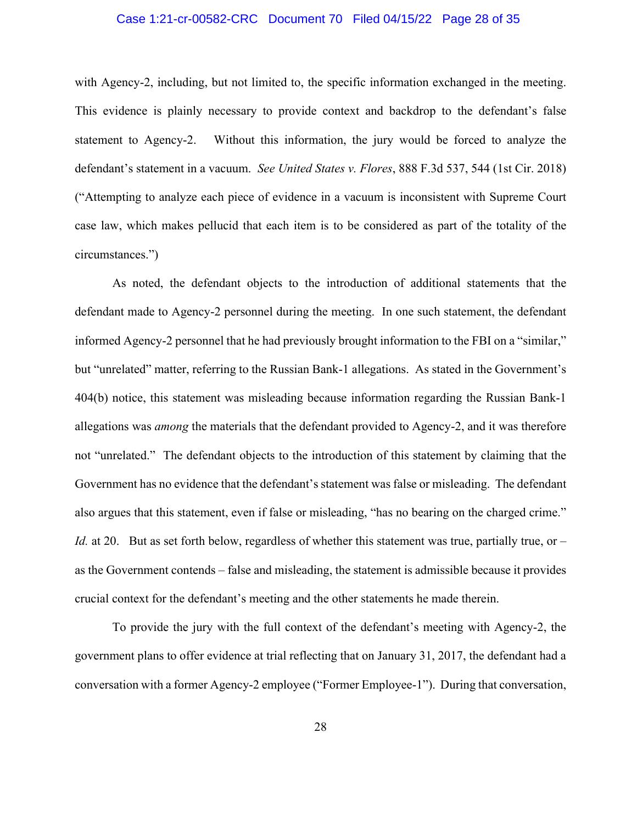#### Case 1:21-cr-00582-CRC Document 70 Filed 04/15/22 Page 28 of 35

with Agency-2, including, but not limited to, the specific information exchanged in the meeting. This evidence is plainly necessary to provide context and backdrop to the defendant's false statement to Agency-2. Without this information, the jury would be forced to analyze the defendant's statement in a vacuum. *See United States v. Flores*, 888 F.3d 537, 544 (1st Cir. 2018) ("Attempting to analyze each piece of evidence in a vacuum is inconsistent with Supreme Court case law, which makes pellucid that each item is to be considered as part of the totality of the circumstances.")

As noted, the defendant objects to the introduction of additional statements that the defendant made to Agency-2 personnel during the meeting. In one such statement, the defendant informed Agency-2 personnel that he had previously brought information to the FBI on a "similar," but "unrelated" matter, referring to the Russian Bank-1 allegations. As stated in the Government's 404(b) notice, this statement was misleading because information regarding the Russian Bank-1 allegations was *among* the materials that the defendant provided to Agency-2, and it was therefore not "unrelated." The defendant objects to the introduction of this statement by claiming that the Government has no evidence that the defendant's statement was false or misleading. The defendant also argues that this statement, even if false or misleading, "has no bearing on the charged crime." *Id.* at 20. But as set forth below, regardless of whether this statement was true, partially true, or – as the Government contends – false and misleading, the statement is admissible because it provides crucial context for the defendant's meeting and the other statements he made therein.

To provide the jury with the full context of the defendant's meeting with Agency-2, the government plans to offer evidence at trial reflecting that on January 31, 2017, the defendant had a conversation with a former Agency-2 employee ("Former Employee-1"). During that conversation,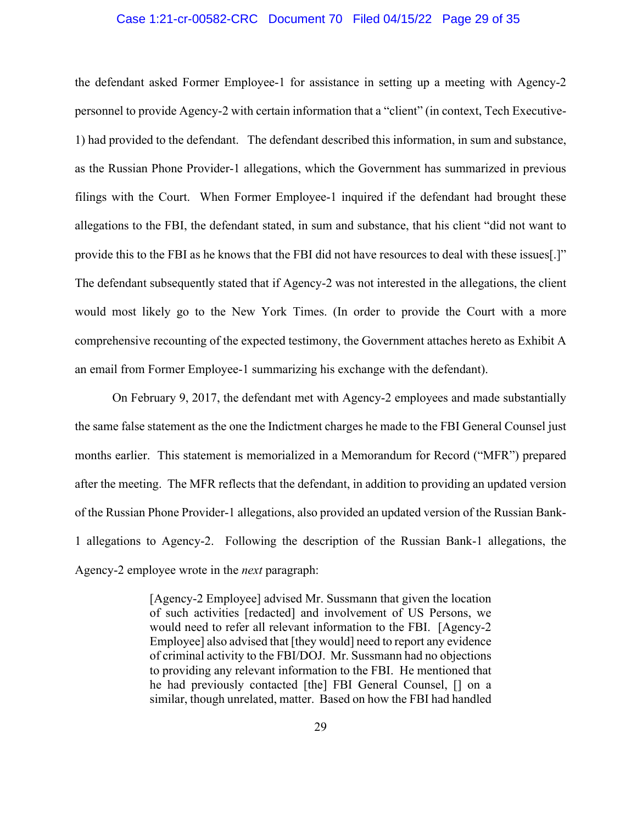#### Case 1:21-cr-00582-CRC Document 70 Filed 04/15/22 Page 29 of 35

the defendant asked Former Employee-1 for assistance in setting up a meeting with Agency-2 personnel to provide Agency-2 with certain information that a "client" (in context, Tech Executive-1) had provided to the defendant. The defendant described this information, in sum and substance, as the Russian Phone Provider-1 allegations, which the Government has summarized in previous filings with the Court. When Former Employee-1 inquired if the defendant had brought these allegations to the FBI, the defendant stated, in sum and substance, that his client "did not want to provide this to the FBI as he knows that the FBI did not have resources to deal with these issues[.]" The defendant subsequently stated that if Agency-2 was not interested in the allegations, the client would most likely go to the New York Times. (In order to provide the Court with a more comprehensive recounting of the expected testimony, the Government attaches hereto as Exhibit A an email from Former Employee-1 summarizing his exchange with the defendant).

On February 9, 2017, the defendant met with Agency-2 employees and made substantially the same false statement as the one the Indictment charges he made to the FBI General Counsel just months earlier. This statement is memorialized in a Memorandum for Record ("MFR") prepared after the meeting. The MFR reflects that the defendant, in addition to providing an updated version of the Russian Phone Provider-1 allegations, also provided an updated version of the Russian Bank-1 allegations to Agency-2. Following the description of the Russian Bank-1 allegations, the Agency-2 employee wrote in the *next* paragraph:

> [Agency-2 Employee] advised Mr. Sussmann that given the location of such activities [redacted] and involvement of US Persons, we would need to refer all relevant information to the FBI. [Agency-2 Employee] also advised that [they would] need to report any evidence of criminal activity to the FBI/DOJ. Mr. Sussmann had no objections to providing any relevant information to the FBI. He mentioned that he had previously contacted [the] FBI General Counsel, [] on a similar, though unrelated, matter. Based on how the FBI had handled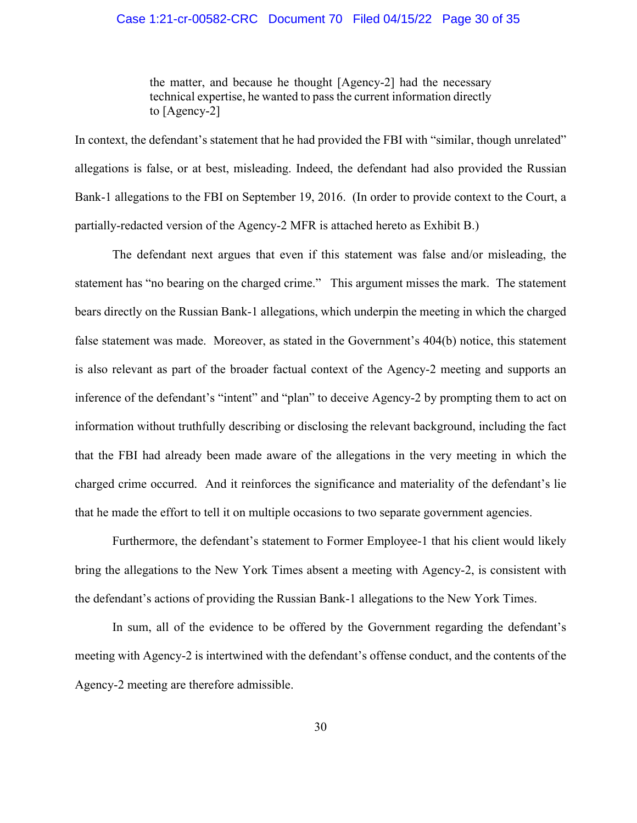#### Case 1:21-cr-00582-CRC Document 70 Filed 04/15/22 Page 30 of 35

the matter, and because he thought [Agency-2] had the necessary technical expertise, he wanted to pass the current information directly to [Agency-2]

In context, the defendant's statement that he had provided the FBI with "similar, though unrelated" allegations is false, or at best, misleading. Indeed, the defendant had also provided the Russian Bank-1 allegations to the FBI on September 19, 2016. (In order to provide context to the Court, a partially-redacted version of the Agency-2 MFR is attached hereto as Exhibit B.)

 The defendant next argues that even if this statement was false and/or misleading, the statement has "no bearing on the charged crime." This argument misses the mark. The statement bears directly on the Russian Bank-1 allegations, which underpin the meeting in which the charged false statement was made. Moreover, as stated in the Government's 404(b) notice, this statement is also relevant as part of the broader factual context of the Agency-2 meeting and supports an inference of the defendant's "intent" and "plan" to deceive Agency-2 by prompting them to act on information without truthfully describing or disclosing the relevant background, including the fact that the FBI had already been made aware of the allegations in the very meeting in which the charged crime occurred. And it reinforces the significance and materiality of the defendant's lie that he made the effort to tell it on multiple occasions to two separate government agencies.

Furthermore, the defendant's statement to Former Employee-1 that his client would likely bring the allegations to the New York Times absent a meeting with Agency-2, is consistent with the defendant's actions of providing the Russian Bank-1 allegations to the New York Times.

In sum, all of the evidence to be offered by the Government regarding the defendant's meeting with Agency-2 is intertwined with the defendant's offense conduct, and the contents of the Agency-2 meeting are therefore admissible.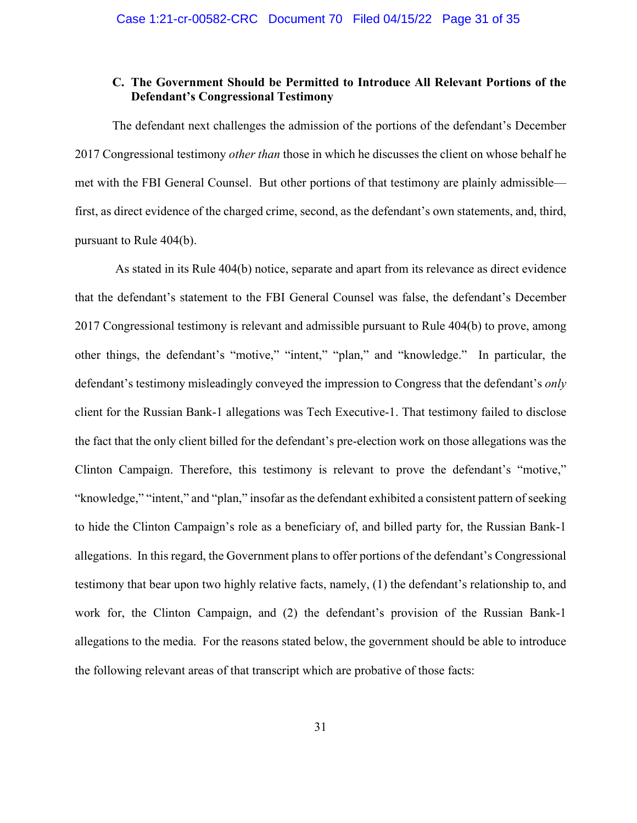# **C. The Government Should be Permitted to Introduce All Relevant Portions of the Defendant's Congressional Testimony**

The defendant next challenges the admission of the portions of the defendant's December 2017 Congressional testimony *other than* those in which he discusses the client on whose behalf he met with the FBI General Counsel. But other portions of that testimony are plainly admissible first, as direct evidence of the charged crime, second, as the defendant's own statements, and, third, pursuant to Rule 404(b).

 As stated in its Rule 404(b) notice, separate and apart from its relevance as direct evidence that the defendant's statement to the FBI General Counsel was false, the defendant's December 2017 Congressional testimony is relevant and admissible pursuant to Rule 404(b) to prove, among other things, the defendant's "motive," "intent," "plan," and "knowledge." In particular, the defendant's testimony misleadingly conveyed the impression to Congress that the defendant's *only* client for the Russian Bank-1 allegations was Tech Executive-1. That testimony failed to disclose the fact that the only client billed for the defendant's pre-election work on those allegations was the Clinton Campaign. Therefore, this testimony is relevant to prove the defendant's "motive," "knowledge," "intent," and "plan," insofar as the defendant exhibited a consistent pattern of seeking to hide the Clinton Campaign's role as a beneficiary of, and billed party for, the Russian Bank-1 allegations. In this regard, the Government plans to offer portions of the defendant's Congressional testimony that bear upon two highly relative facts, namely, (1) the defendant's relationship to, and work for, the Clinton Campaign, and (2) the defendant's provision of the Russian Bank-1 allegations to the media. For the reasons stated below, the government should be able to introduce the following relevant areas of that transcript which are probative of those facts: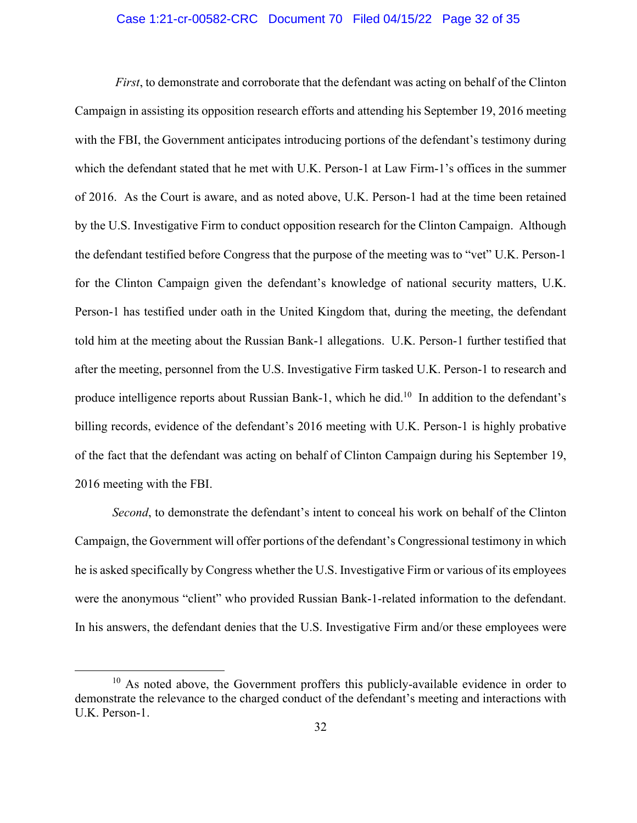#### Case 1:21-cr-00582-CRC Document 70 Filed 04/15/22 Page 32 of 35

*First*, to demonstrate and corroborate that the defendant was acting on behalf of the Clinton Campaign in assisting its opposition research efforts and attending his September 19, 2016 meeting with the FBI, the Government anticipates introducing portions of the defendant's testimony during which the defendant stated that he met with U.K. Person-1 at Law Firm-1's offices in the summer of 2016. As the Court is aware, and as noted above, U.K. Person-1 had at the time been retained by the U.S. Investigative Firm to conduct opposition research for the Clinton Campaign. Although the defendant testified before Congress that the purpose of the meeting was to "vet" U.K. Person-1 for the Clinton Campaign given the defendant's knowledge of national security matters, U.K. Person-1 has testified under oath in the United Kingdom that, during the meeting, the defendant told him at the meeting about the Russian Bank-1 allegations. U.K. Person-1 further testified that after the meeting, personnel from the U.S. Investigative Firm tasked U.K. Person-1 to research and produce intelligence reports about Russian Bank-1, which he did.<sup>10</sup> In addition to the defendant's billing records, evidence of the defendant's 2016 meeting with U.K. Person-1 is highly probative of the fact that the defendant was acting on behalf of Clinton Campaign during his September 19, 2016 meeting with the FBI.

*Second*, to demonstrate the defendant's intent to conceal his work on behalf of the Clinton Campaign, the Government will offer portions of the defendant's Congressional testimony in which he is asked specifically by Congress whether the U.S. Investigative Firm or various of its employees were the anonymous "client" who provided Russian Bank-1-related information to the defendant. In his answers, the defendant denies that the U.S. Investigative Firm and/or these employees were

 $10$  As noted above, the Government proffers this publicly-available evidence in order to demonstrate the relevance to the charged conduct of the defendant's meeting and interactions with U.K. Person-1.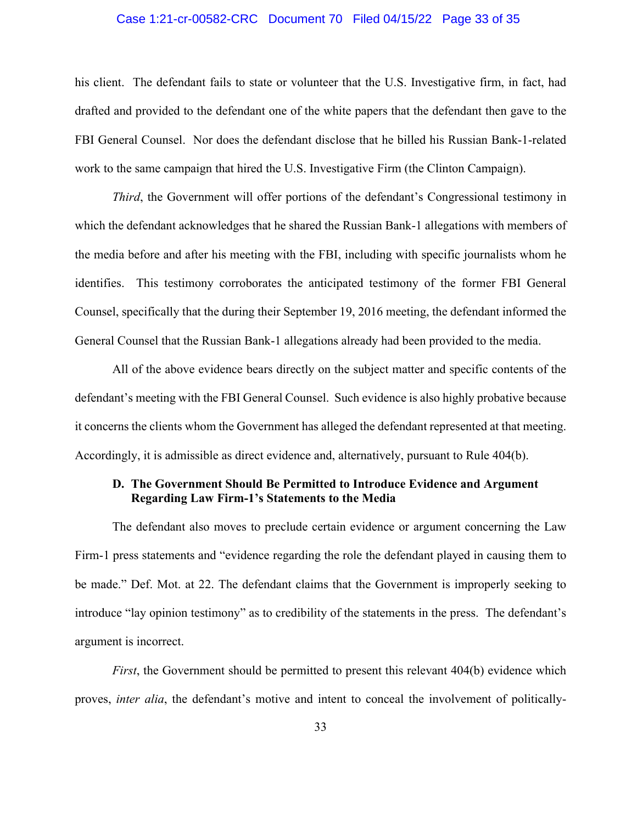### Case 1:21-cr-00582-CRC Document 70 Filed 04/15/22 Page 33 of 35

his client. The defendant fails to state or volunteer that the U.S. Investigative firm, in fact, had drafted and provided to the defendant one of the white papers that the defendant then gave to the FBI General Counsel. Nor does the defendant disclose that he billed his Russian Bank-1-related work to the same campaign that hired the U.S. Investigative Firm (the Clinton Campaign).

*Third*, the Government will offer portions of the defendant's Congressional testimony in which the defendant acknowledges that he shared the Russian Bank-1 allegations with members of the media before and after his meeting with the FBI, including with specific journalists whom he identifies. This testimony corroborates the anticipated testimony of the former FBI General Counsel, specifically that the during their September 19, 2016 meeting, the defendant informed the General Counsel that the Russian Bank-1 allegations already had been provided to the media.

All of the above evidence bears directly on the subject matter and specific contents of the defendant's meeting with the FBI General Counsel. Such evidence is also highly probative because it concerns the clients whom the Government has alleged the defendant represented at that meeting. Accordingly, it is admissible as direct evidence and, alternatively, pursuant to Rule 404(b).

# **D. The Government Should Be Permitted to Introduce Evidence and Argument Regarding Law Firm-1's Statements to the Media**

The defendant also moves to preclude certain evidence or argument concerning the Law Firm-1 press statements and "evidence regarding the role the defendant played in causing them to be made." Def. Mot. at 22. The defendant claims that the Government is improperly seeking to introduce "lay opinion testimony" as to credibility of the statements in the press. The defendant's argument is incorrect.

*First*, the Government should be permitted to present this relevant 404(b) evidence which proves, *inter alia*, the defendant's motive and intent to conceal the involvement of politically-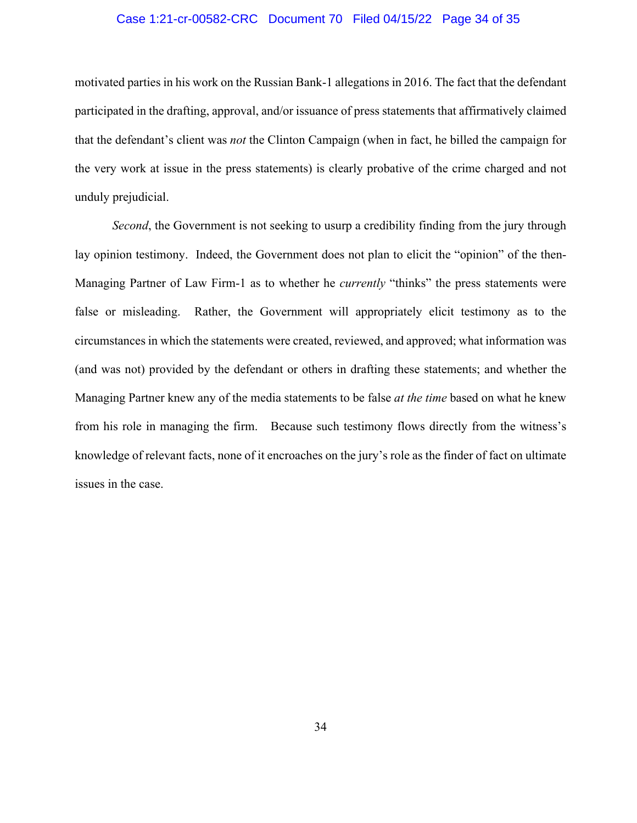#### Case 1:21-cr-00582-CRC Document 70 Filed 04/15/22 Page 34 of 35

motivated parties in his work on the Russian Bank-1 allegations in 2016. The fact that the defendant participated in the drafting, approval, and/or issuance of press statements that affirmatively claimed that the defendant's client was *not* the Clinton Campaign (when in fact, he billed the campaign for the very work at issue in the press statements) is clearly probative of the crime charged and not unduly prejudicial.

*Second*, the Government is not seeking to usurp a credibility finding from the jury through lay opinion testimony. Indeed, the Government does not plan to elicit the "opinion" of the then-Managing Partner of Law Firm-1 as to whether he *currently* "thinks" the press statements were false or misleading. Rather, the Government will appropriately elicit testimony as to the circumstances in which the statements were created, reviewed, and approved; what information was (and was not) provided by the defendant or others in drafting these statements; and whether the Managing Partner knew any of the media statements to be false *at the time* based on what he knew from his role in managing the firm. Because such testimony flows directly from the witness's knowledge of relevant facts, none of it encroaches on the jury's role as the finder of fact on ultimate issues in the case.